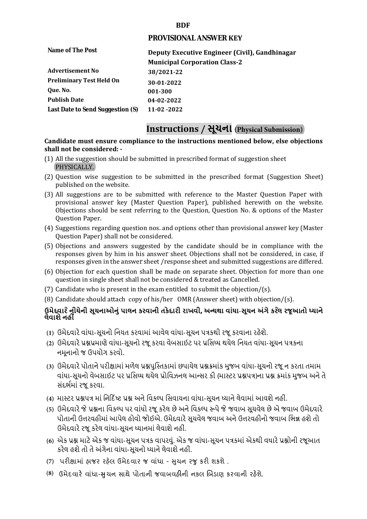## **BDF**

## **PROVISIONAL ANSWER KEY**

| Deputy Executive Engineer (Civil), Gandhinagar |
|------------------------------------------------|
| <b>Municipal Corporation Class-2</b>           |
| 38/2021-22                                     |
| 30-01-2022                                     |
| 001-300                                        |
| 04-02-2022                                     |
| $11 - 02 - 2022$                               |
|                                                |

# **Instructions / સૂચના (Physical Submission)**

#### **shall not be considered: - Candidate must ensure compliance to the instructions mentioned below, else objections**

- (1) All the suggestion should be submitted in prescribed format of suggestion sheet PHYSICALLY.
- (2) Question wise suggestion to be submitted in the prescribed format (Suggestion Sheet) published on the website.
- (3) All suggestions are to be submitted with reference to the Master Question Paper with provisional answer key (Master Question Paper), published herewith on the website. Objections should be sent referring to the Question, Question No. & options of the Master Question Paper.
- (4) Suggestions regarding question nos. and options other than provisional answer key (Master Question Paper) shall not be considered.
- (5) Objections and answers suggested by the candidate should be in compliance with the responses given by him in his answer sheet. Objections shall not be considered, in case, if responses given in the answer sheet /response sheet and submitted suggestions are differed.
- (6) Objection for each question shall be made on separate sheet. Objection for more than one question in single sheet shall not be considered & treated as Cancelled.
- (7) Candidate who is present in the exam entitled to submit the objection/ $(s)$ .
- (8) Candidate should attach copy of his/her OMR (Answer sheet) with objection/(s).

# **ઉમેદવાર ેનીચેની સૂચનાઓનું પાલન કરવાની તકેદારી રાખવી, અլયથા વાંધા-સૂચન અંગેકરલે રજૂઆતો իયાને લેવાશેનહીં**

- **(1)** ઉમેદવારેવાંધા**-**સૂચનો િનયત કરવામાં આવેલ વાંધા-સૂચન પԋકથી રજૂ કરવાના રહેશે**.**
- **(2)** ઉમેદવારેԐՇԐમાણે વાંધા**-**સૂચનો રજૂકરવા વેબસાઈટ પર Ԑિસիધ થયેલ િનયત વાંધા-સૂચન પԋકના નમૂનાનો જ ઉપયોગ કરવો**.**
- **(3)** ઉમેદવારેપોતાનેપરીԟામાંમળેલ ԐՇપુિչતકામાંછપાયેલ ԐՇԃમાંક મુજબ વાંધા**-**સૂચનો રજૂન કરતા તમામ વાંધા**-**સૂચનો વેબસાઈટ પર Ԑિસիધ થયેલ Ԑોિવઝનલ આլસર કી **(**માչટર ԐՇપԋ**)**ના ԐՇ ԃમાંક મુજબ અનેતે સંદભӪમાં રજૂકરવા**.**
- **(4)** માչટર ԐՇપԋ માં િન�દ�ષ્ટ ԐՇ અનેિવકճપ િસવાયના વાંધા**-**સૂચન իયાનેલેવામાંઆવશેનહીં**.**
- **(5)** ઉમેદવારેજેԐՇના િવકճપ પર વાંધો રજૂકરેલ છેઅનેિવકճપ ԁપેજેજવાબ સૂચવેલ છેએ જવાબ ઉમેદવારે પોતાની ઉԱરવહીમાંઆપેલ હોવો જોઈએ**.** ઉમેદવારેસૂચવેલ જવાબ અનેઉԱરવહીનો જવાબ િભՂ હશેતો ઉમેદવારેરજૂ કરેલ વાંધા**-**સૂચન իયાનમાંલેવાશેનહીં**.**
- **(6)** એક ԐՇ માટેએક જ વાંધા**-**સૂચન પԋક વાપરવું**.** એક જ વાંધા**-**સૂચન પԋકમાંએકથી વધારેԐՇોની રજૂઆત કરેલ હશેતો તેઅંગેના વાંધા**-**સૂચનો իયાનેલેવાશેનહીં**.**
- (7) પરીક્ષામાં હાજર રહેલ ઉમેદવાર જ વાંધા સુચન રજુ કરી શકશે .
- **(8)** ઉમેદવાર**�** વાંધા-**�**ુચન સાથે પોતાની જવાબવહ**�**ની નકલ **�**બડાણ કરવાની રહ**�**શે.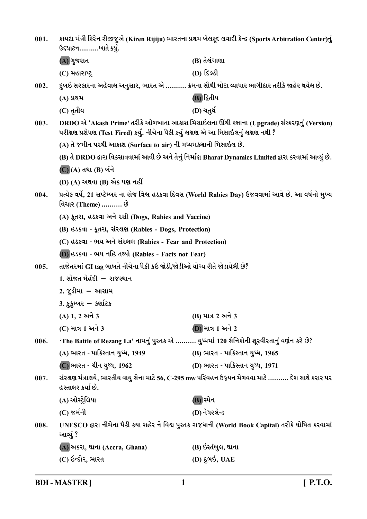| 001.                                                                             | કાયદા મંત્રી કિરેન રીજીજુએ (Kiren Rijiju) ભારતના પ્રથમ ખેલકૂદ લવાદી કેન્દ્ર (Sports Arbitration Center)નું<br>ઉદઘાટનખાતે કર્યું. |                                                                                                           |
|----------------------------------------------------------------------------------|----------------------------------------------------------------------------------------------------------------------------------|-----------------------------------------------------------------------------------------------------------|
|                                                                                  | (A) ગુજરાત                                                                                                                       | (B) તેલંગાણા                                                                                              |
|                                                                                  | (C) મહારાષ્ટ્ર                                                                                                                   | (D) દિલ્હી                                                                                                |
| 002.                                                                             |                                                                                                                                  | દુબઇ સરકારના અહેવાલ અનુસાર, ભારત એ ………. ક્રમના સૌથી મોટા વ્યાપાર ભાગીદાર તરીકે જાહેર થયેલ છે.             |
|                                                                                  | (A) પ્રથમ                                                                                                                        | (B) દ્વિતીય                                                                                               |
|                                                                                  | (C) તૃતીય                                                                                                                        | (D) ચતુર્થ                                                                                                |
| 003.                                                                             | પરીક્ષણ પ્રશેપણ (Test Fired) કર્યું. નીચેના પૈકી કયું લક્ષણ એ આ મિસાઇલનું લક્ષણ નથી ?                                            | DRDO એ 'Akash Prime' તરીકે ઓળખાતા આકાશ મિસાઇલના ઊંચી કક્ષાના (Upgrade) સંસ્કરણનું (Version)               |
|                                                                                  | (A) તે જમીન પરથી આકાશ (Surface to air) ની મધ્યમકક્ષાની મિસાઇલ છે.                                                                |                                                                                                           |
|                                                                                  |                                                                                                                                  | (B) તે DRDO દ્વારા વિકસાવવામાં આવી છે અને તેનું નિર્માણ Bharat Dynamics Limited દ્વારા કરવામાં આવ્યું છે. |
|                                                                                  | (C) (A) તથા (B) બંને                                                                                                             |                                                                                                           |
|                                                                                  | (D) (A) અથવા (B) એક પણ નહીં                                                                                                      |                                                                                                           |
| 004.                                                                             | વિચાર (Theme) ………. છે                                                                                                            | પ્રત્યેક વર્ષે, 21 સપ્ટેમ્બર ના રોજ વિશ્વ હડકવા દિવસ (World Rabies Day) ઉજવવામાં આવે છે. આ વર્ષનો મુખ્ય   |
|                                                                                  | (A) કૂતરા, હડકવા અને રસી (Dogs, Rabies and Vaccine)                                                                              |                                                                                                           |
|                                                                                  | (B) હડકવા - કૂતરા, સંરક્ષણ (Rabies - Dogs, Protection)                                                                           |                                                                                                           |
|                                                                                  | (C) હડકવા - ભય અને સંરક્ષણ (Rabies - Fear and Protection)                                                                        |                                                                                                           |
|                                                                                  | (D) उउडवा - भय नडि तथ्यो (Rabies - Facts not Fear)                                                                               |                                                                                                           |
| તાજેતરમાં GI tag બાબતે નીચેના પૈકી કઇ જોડી/જોડીઓ યોગ્ય રીતે જોડાયેલી છે?<br>005. |                                                                                                                                  |                                                                                                           |
|                                                                                  | 1. સોજત મેહંદી – રાજસ્થાન                                                                                                        |                                                                                                           |
|                                                                                  | 2. જુડીમા – આસામ                                                                                                                 |                                                                                                           |
|                                                                                  | 3. કુકુમ્બર – કર્ણાટક                                                                                                            |                                                                                                           |
|                                                                                  | (A) 1, 2 અને 3                                                                                                                   | (B) માત્ર 2 અને 3                                                                                         |
|                                                                                  | (C) માત્ર 1 અને 3                                                                                                                | (D) માત્ર 1 અને 2                                                                                         |
| 006.                                                                             | 'The Battle of Rezang La' નામનું પુસ્તક એ ………. યુધ્ધમાં 120 સૈનિકોની શૂરવીરતાનું વર્ણન કરે છે?                                   |                                                                                                           |
|                                                                                  | (A) ભારત - પાકિસ્તાન યુધ્ધ, 1949                                                                                                 | (B) ભારત - પાકિસ્તાન યુધ્ધ, 1965                                                                          |
|                                                                                  | (C) ભારત - ચીન યુધ્ધ, 1962                                                                                                       | (D) ભારત - પાકિસ્તાન યુધ્ધ, 1971                                                                          |
| 007.                                                                             | સંરક્ષણ મંત્રાલયે, ભારતીય વાયુ સેના માટે 56, C-295 mw પરિવહન ઉઙ્રયન મેળવવા માટે ………. દેશ સાથે કરાર પર<br>હસ્તાક્ષર કર્યા છે.     |                                                                                                           |
|                                                                                  | (A) ઓસ્ટ્રેલિયા                                                                                                                  | (B) સ્પેન                                                                                                 |
|                                                                                  | (C) જર્મની                                                                                                                       | (D) નેધરલેન્ડ                                                                                             |
| 008.                                                                             | આવ્યું ?                                                                                                                         | UNESCO દ્વારા નીચેના પૈકી કયા શહેર ને વિશ્વ પુસ્તક રાજધાની (World Book Capital) તરીકે ઘોષિત કરવામાં       |
|                                                                                  | (A) અકરા, ઘાના (Accra, Ghana)                                                                                                    | (B) ઇસ્તંબુલ, ઘાના                                                                                        |
|                                                                                  | (C) ઇન્દોર, ભારત                                                                                                                 | (D) દુબઇ, UAE                                                                                             |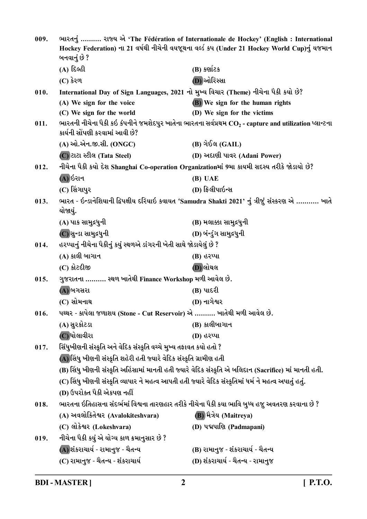| 009. | ભારતનું  રાજ્ય એ 'The Fédération of Internationale de Hockey' (English: International<br>Hockey Federation) ના 21 વર્ષથી નીચેની વયજૂથના વર્લ્ડ કપ (Under 21 Hockey World Cup)નું યજમાન<br>બનવાનું છે ? |                                                                                                                  |
|------|--------------------------------------------------------------------------------------------------------------------------------------------------------------------------------------------------------|------------------------------------------------------------------------------------------------------------------|
|      | (A) દિલ્હી                                                                                                                                                                                             | (B) કર્ણાટક                                                                                                      |
|      | $(C)$ કેરળ                                                                                                                                                                                             | (D) ઓરિસ્સા                                                                                                      |
| 010. | International Day of Sign Languages, 2021 નો મુખ્ય વિચાર (Theme) નીચેના પૈકી કયો છે?                                                                                                                   |                                                                                                                  |
|      | (A) We sign for the voice                                                                                                                                                                              | (B) We sign for the human rights                                                                                 |
|      | (C) We sign for the world                                                                                                                                                                              | (D) We sign for the victims                                                                                      |
| 011. | કાર્યની સોંપણી કરવામાં આવી છે?                                                                                                                                                                         | ભારતની નીચેના પૈકી કઇ કંપનીને જમશેદપુર ખાતેના ભારતના સર્વપ્રથમ $\text{CO}_2$ - capture and utilization પ્લાન્ટના |
|      | (A) ઓ.એન.જી.સી. (ONGC)                                                                                                                                                                                 | (B) ગેઈલ (GAIL)                                                                                                  |
|      | (C) टाटा स्टीલ (Tata Steel)                                                                                                                                                                            | (D) અદાણી પાવર (Adani Power)                                                                                     |
| 012. | નીચેના પૈકી કર્યો દેશ Shanghai Co-operation Organizationમાં 9મા કાયમી સદસ્ય તરીકે જોડાયો છે?                                                                                                           |                                                                                                                  |
|      | (A) ઇરાન                                                                                                                                                                                               | (B) UAE                                                                                                          |
|      | (C) સિંગાપુર                                                                                                                                                                                           | (D) ફિલીપાઇન્સ                                                                                                   |
| 013. | યોજાયું.                                                                                                                                                                                               | ભારત - ઇન્ડાનેશિયાની દ્વિપક્ષીય દરિયાઇ કવાયત 'Samudra Shakti 2021' નું ત્રીજું સંસ્કરણ એ  ખાતે                   |
|      | (A) પાક સામુદ્રધુની                                                                                                                                                                                    | (B) મલાક્કા સામુદ્રધુની                                                                                          |
|      | (C) સુન્ડા સામુદ્રધુની                                                                                                                                                                                 | (D) બંન્ડુંગ સામુદ્રધુની                                                                                         |
| 014. | હરપ્પાનું નીચેના પૈકીનું કયું સ્થળએ ડાંગરની ખેતી સાથે જોડાયેલું છે ?                                                                                                                                   |                                                                                                                  |
|      | (A) કાલી બાગાન                                                                                                                                                                                         | (B) હરપ્પા                                                                                                       |
|      | (C) કોટદીજી                                                                                                                                                                                            | (D) લોથલ                                                                                                         |
| 015. | ગુજરાતના  સ્થળ ખાતેથી Finance Workshop મળી આવેલ છે.                                                                                                                                                    |                                                                                                                  |
|      | (A) બગસરા                                                                                                                                                                                              | (B) પાદરી                                                                                                        |
|      | (C) સોમનાથ                                                                                                                                                                                             | (D) નાગેશ્વર                                                                                                     |
| 016. | પથ્થર - કાપેલા જળાશય (Stone - Cut Reservoir) એ ………. ખાતેથી મળી આવેલ છે.                                                                                                                                |                                                                                                                  |
|      | (A) સુરકોટડા                                                                                                                                                                                           | (B) કાલીબાગાન                                                                                                    |
|      | $\left($ C) ધોલાવીરા                                                                                                                                                                                   | (D) હરપ્પા                                                                                                       |
| 017. | સિંધુખીણની સંસ્કૃતિ અને વેદિક સંસ્કૃતિ વચ્ચે મુખ્ય તફાવત કયો હતો ?                                                                                                                                     |                                                                                                                  |
|      | (A) સિંધુ ખીણની સંસ્કૃતિ શહેરી હતી જ્યારે વેદિક સંસ્કૃતિ ગ્રામીણ હતી                                                                                                                                   |                                                                                                                  |
|      | (B) સિંધુ ખીણની સંસ્કૃતિ અહિંસામાં માનતી હતી જ્યારે વેદિક સંસ્કૃતિ એ બલિદાન (Sacrifice) માં માનતી હતી.                                                                                                 |                                                                                                                  |
|      | (C) સિંધુ ખીણની સંસ્કૃતિ વ્યાપાર ને મહત્વ આપતી હતી જ્યારે વેદિક સંસ્કૃતિમાં ધર્મ ને મહત્વ અપાતું હતું.                                                                                                 |                                                                                                                  |
|      | (D) ઉપરોક્ત પૈકી એકપણ નહીં                                                                                                                                                                             |                                                                                                                  |
| 018. |                                                                                                                                                                                                        | ભારતના ઇતિહાસના સંદર્ભમાં વિશ્વના તારણહાર તરીકે નીચેના પૈકી કયા ભાવિ બુધ્ધ હજુ અવતરણ કરવાના છે ?                 |
|      | (A) અવલોકિતેશ્વર (Avalokiteshvara)                                                                                                                                                                     | (B) भैत्रेय (Maitreya)                                                                                           |
|      | (C) લોકેશ્વર (Lokeshvara)                                                                                                                                                                              | (D) પદ્મપાણિ (Padmapani)                                                                                         |
| 019. | નીચેના પૈકી કયું એ યોગ્ય કાળ ક્રમાનુસાર છે ?                                                                                                                                                           |                                                                                                                  |
|      | (A) શંકરાચાર્ય - રામાનુજ - ચૈતન્ય                                                                                                                                                                      | (B) રામાનુજ - શંકરાચાર્ય - ચૈતન્ય                                                                                |
|      | (C) રામાનુજ - ચૈતન્ય - શંકરાચાર્ય                                                                                                                                                                      | (D) શંકરાચાર્ય - ચૈતન્ય - રામાનુજ                                                                                |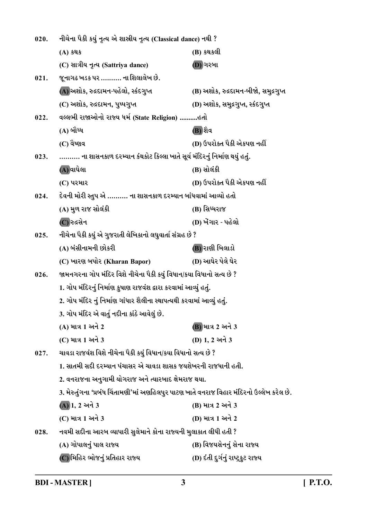| 020. | નીચેના પૈકી કયું નૃત્ય એ શાસ્રીય નૃત્ય (Classical dance) નથી ?                            |                                       |  |
|------|-------------------------------------------------------------------------------------------|---------------------------------------|--|
|      | (A) કથક                                                                                   | (B) કથકલી                             |  |
|      | (C) સાત્રીય નૃત્ય (Sattriya dance)                                                        | (D) ગરબા                              |  |
| 021. | જૂનાગઢ ખડક પર ………. ના શિલાલેખ છે.                                                         |                                       |  |
|      | (A) અશોક, રુદ્રદામન-પહેલો, સ્કંદગુપ્ત                                                     | (B) અશોક, રુદ્રદામન-બીજો, સમુદ્રગુપ્ત |  |
|      | (C) અશોક, રુદ્રદામન, પુષ્પગુપ્ત                                                           | (D) અશોક, સમુદ્રગુપ્ત, સ્કંદગુપ્ત     |  |
| 022. | વલ્લભી રાજાઓનો રાજ્ય ધર્મ (State Religion) હતો                                            |                                       |  |
|      | (A) બૌધ્ધ                                                                                 | (B) શૈવ                               |  |
|      | (C) વેષ્ણવ                                                                                | (D) ઉપરોક્ત પૈકી એકપણ નહીં            |  |
| 023. | ………. ના શાસનકાળ દરમ્યાન કંથકોટ કિલ્લા ખાતે સૂર્ય મંદિરનું નિર્માણ થયું હતું.              |                                       |  |
|      | (A) વાઘેલા                                                                                | (B) સોલંકી                            |  |
|      | (C) પરમાર                                                                                 | (D) ઉપરોક્ત પૈકી એકપણ નહીં            |  |
| 024. | દેવની મોરી સ્તુપ એ ………. ના શાસનકાળ દરમ્યાન બાંધવામાં આવ્યો હતો                            |                                       |  |
|      | (A) મુળ રાજ સોલંકી                                                                        | (B) સિધ્ધરાજ                          |  |
|      | (C) રુદ્રસેન                                                                              | (D) ખેંગાર - પહેલો                    |  |
| 025. | નીચેના પૈકી કયું એ ગુજરાતી લેખિકાનો લઘુવાર્તા સંગ્રહ છે ?                                 |                                       |  |
|      | (A) બંસીનામની છોકરી                                                                       | (B) રાણી બિલાડો                       |  |
|      | (C) ખારણ બપોર (Kharan Bapor)                                                              | (D) આઘેર પેલે ઘેર                     |  |
| 026. | જામનગરના ગોપ મંદિર વિશે નીચેના પૈકી કયું વિધાન/કયા વિધાનો સત્ય છે ?                       |                                       |  |
|      | 1. ગોપ મંદિરનું નિર્માણ કુષાણ રાજવંશ દ્વારા કરવામાં આવ્યું હતું.                          |                                       |  |
|      | 2. ગોપ મંદિર નું નિર્માણ ગાંધાર શૈલીના સ્થાપત્યથી કરવામાં આવ્યું હતું.                    |                                       |  |
|      | 3. ગોપ મંદિર એ વાર્તુ નદીના કાંઠે આવેલું છે.                                              |                                       |  |
|      | (A) માત્ર 1 અને 2                                                                         | (B) માત્ર 2 અને 3                     |  |
|      | (C) માત્ર 1 અને 3                                                                         | (D) 1, 2 અને 3                        |  |
| 027. | ચાવડા રાજવંશ વિશે નીચેના પૈકી કયું વિધાન/કયા વિધાનો સત્ય છે ?                             |                                       |  |
|      | 1. સાતમી સદી દરમ્યાન પંચાસર એ ચાવડા શાસક જયશેખરની રાજધાની હતી.                            |                                       |  |
|      | 2. વનરાજના અનુગામી યોગરાજ અને ત્યારબાદ ક્ષેમરાજ થયા.                                      |                                       |  |
|      | 3. મેરુતુંગના 'પ્રબંધ ચિંતામણી'માં અણહિલપુર પાટણ ખાતે વનરાજ વિહાર મંદિરનો ઉલ્લેખ કરેલ છે. |                                       |  |
|      | $(A)$ 1, 2 અને 3                                                                          | (B) માત્ર 2 અને 3                     |  |
|      | (C) માત્ર 1 અને 3                                                                         | (D) માત્ર 1 અને 2                     |  |
| 028. | નવમી સદીના આરબ વ્યાપારી સુલેમાને કોના રાજ્યની મુલાકાત લીધી હતી ?                          |                                       |  |
|      | (A) ગોપાલનું પાલ રાજ્ય                                                                    | (B) વિજયસેનનું સેના રાજ્ય             |  |
|      | (C)મિહિર ભોજનું પ્રતિહાર રાજ્ય                                                            | (D) દંતી દુર્ગનું રાષ્ટ્રકુટ રાજ્ય    |  |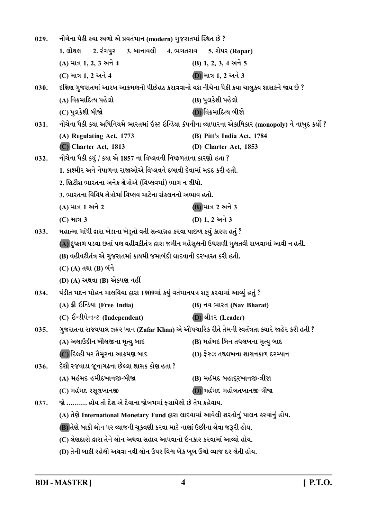| 029. | નીચેના પૈકી કયા સ્થળો એ પ્રવર્તમાન (modern) ગુજરાતમાં સ્થિત છે ?                              |                                                                                                      |
|------|-----------------------------------------------------------------------------------------------|------------------------------------------------------------------------------------------------------|
|      | 1. લોથલ<br>2. રંગપુર<br>3. બાનાવલી     4. ભગતરાવ     5. રોપર (Ropar)                          |                                                                                                      |
|      | (A) માત્ર 1, 2, 3 અને 4                                                                       | (B) 1, 2, 3, 4 અને 5                                                                                 |
|      | (C) માત્ર 1, 2 અને 4                                                                          | (D) માત્ર 1, 2 અને 3                                                                                 |
| 030. | દક્ષિણ ગુજરાતમાં આરબ આક્રમણની પીછેહઠ કરાવવાનો યશ નીચેના પૈકી કયા ચાલુક્ય શાસકને જાય છે ?      |                                                                                                      |
|      | (A) વિક્રમાદિત્ય પહેલો                                                                        | (B) પુલકેશી પહેલો                                                                                    |
|      | (C) પુલકેશી બીજો                                                                              | (D) વિક્રમાદિત્ય બીજો                                                                                |
| 031. |                                                                                               | નીચેના પૈકી કયા અધિનિયમે ભારતમાં ઇસ્ટ ઇન્ડિયા કંપનીના વ્યાપારના એકાધિકાર (monopoly) ને નાબુદ કર્યો ? |
|      | (A) Regulating Act, 1773                                                                      | (B) Pitt's India Act, 1784                                                                           |
|      | (C) Charter Act, 1813                                                                         | (D) Charter Act, 1853                                                                                |
| 032. | નીચેના પૈકી કયું / કયા એ 1857 ના વિપ્લવની નિષ્ફળતાના કારણો હતા ?                              |                                                                                                      |
|      | 1. કાશ્મીર અને નેપાળના રાજાઓએ વિપ્લવને દબાવી દેવામાં મદદ કરી હતી.                             |                                                                                                      |
|      | 2. બ્રિટીશ ભારતના અનેક ક્ષેત્રોએ (વિપ્લવમાં) ભાગ ન લીધો.                                      |                                                                                                      |
|      | 3. ભારતના વિવિધ ક્ષેત્રોમાં વિપ્લવ માટેના સંકલનનો અભાવ હતો.                                   |                                                                                                      |
|      | (A) માત્ર 1 અને 2                                                                             | (B) માત્ર 2 અને 3                                                                                    |
|      | (C) માત્ર 3                                                                                   | (D) 1, 2 અને 3                                                                                       |
| 033. | મહાત્મા ગાંધી દ્વારા ખેડાના ખેડૂતો વતી સત્યાગ્રહ કરવા પાછળ કયું કારણ હતું ?                   |                                                                                                      |
|      | (A) દુષ્કાળ પડવા છતાં પણ વહીવટીતંત્ર દ્વારા જમીન મહેસૂલની ઉઘરાણી મુલતવી રાખવામાં આવી ન હતી.   |                                                                                                      |
|      | (B) વહીવટીતંત્ર એ ગુજરાતમાં કાયમી જમાબંદી લાદવાની દરખાસ્ત કરી હતી.                            |                                                                                                      |
|      | (C) (A) તથા (B) બંને                                                                          |                                                                                                      |
|      | (D) (A) અથવા (B) એકપણ નહીં                                                                    |                                                                                                      |
| 034. | પંડીત મદન મોહન માલવિયા દ્વારા 1909માં કયું વર્તમાનપત્ર શરૂ કરવામાં આવ્યું હતું ?              |                                                                                                      |
|      | (A) ईी ઇન્ડિયા (Free India)                                                                   | (B) नव <i>लारत (Nav Bharat)</i>                                                                      |
|      | (C) ઈन्डीपेन्डन्ट (Independent)                                                               | (D) લીડર (Leader)                                                                                    |
| 035. | ગુજરાતના રાજ્યપાલ ઝફર ખાન (Zafar Khan) એ ઔપચારિક રીતે તેમની સ્વતંત્રતા ક્યારે જાહેર કરી હતી ? |                                                                                                      |
|      | (A) અલાઉદ્દીન ખીલજીના મૃત્યુ બાદ                                                              | (B) મહંમદ બિન તઘલખના મૃત્યુ બાદ                                                                      |
|      | (C) દિલ્હી પર તૈમૂરના આક્રમણ બાદ                                                              | (D) ફેરુઝ તઘલખના શાસનકાળ દરમ્યાન                                                                     |
| 036. | દેશી રજવાડા જૂનાગઢના છેલ્લા શાસક કોણ હતા ?                                                    |                                                                                                      |
|      | (A) મહંમદ હમીદખાનજી-બીજા                                                                      | (B) મહંમદ બહાદૂરખાનજી-ત્રીજા                                                                         |
|      | (C) મહંમદ રસૂલખાનજી                                                                           | (D) મહંમદ મહોબતખાનજી-ત્રીજા                                                                          |
| 037. | જો ………. હોય તો દેશ એ દેવાના જોખમમાં ફસાયેલો છે તેમ કહેવાય.                                    |                                                                                                      |
|      | (A) તેણે International Monetary Fund દ્વારા લાદવામાં આવેલી શરતોનું પાલન કરવાનું હોય.          |                                                                                                      |
|      | (B) તેણે બાકી લોન પર વ્યાજની ચૂકવણી કરવા માટે નાણાં ઉછીના લેવા જરૂરી હોય.                     |                                                                                                      |
|      | (C) લેણદારો દ્વારા તેને લોન અથવા સહાય આપવાનો ઇનકાર કરવામાં આવ્યો હોય.                         |                                                                                                      |
|      | (D) તેની બાકી રહેલી અથવા નવી લોન ઉપર વિશ્વ બેંક ખૂબ ઉંચો વ્યાજ દર લેતી હોય.                   |                                                                                                      |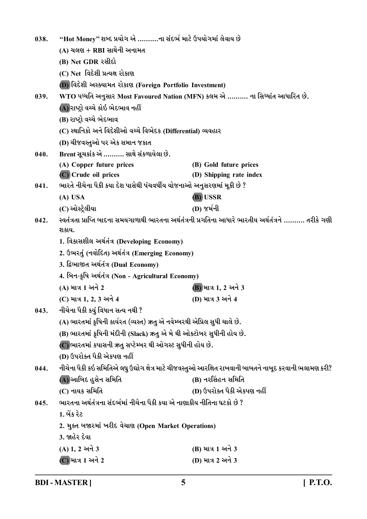| 038.                                                                                                                     | "Hot Money" શબ્દ પ્રયોગ એ ……….ના સંદર્ભ માટે ઉપયોગમાં લેવાય છે           |                                                                                                        |  |
|--------------------------------------------------------------------------------------------------------------------------|--------------------------------------------------------------------------|--------------------------------------------------------------------------------------------------------|--|
|                                                                                                                          | $(A)$ ચલણ + RBI સાથેની અનામત                                             |                                                                                                        |  |
|                                                                                                                          | (B) Net GDR રસીદો                                                        |                                                                                                        |  |
|                                                                                                                          | (C) Net વિદેશી પ્રત્યક્ષ રોકાણ                                           |                                                                                                        |  |
|                                                                                                                          | (D) વિદેશી અસ્ક્યામત રોકાણ (Foreign Portfolio Investment)                |                                                                                                        |  |
| 039.                                                                                                                     |                                                                          | WTO પધ્ધતિ અનુસાર Most Favoured Nation (MFN) કલમ એ  ના સિધ્ધાંત આધારિત છે.                             |  |
|                                                                                                                          | (A) રાષ્ટ્રો વચ્ચે કોઇ ભેદભાવ નહીં                                       |                                                                                                        |  |
|                                                                                                                          | (B) રાષ્ટ્રો વચ્ચે ભેદભાવ                                                |                                                                                                        |  |
|                                                                                                                          | (C) સ્થાનિકો અને વિદેશીઓ વચ્ચે વિભેદક (Differential) વ્યવહાર             |                                                                                                        |  |
|                                                                                                                          | (D) ચીજવસ્તુઓ પર એક સમાન જકાત                                            |                                                                                                        |  |
| 040.                                                                                                                     | Brent સૂચકાંક એ  સાથે સંકળાયેલા છે.                                      |                                                                                                        |  |
|                                                                                                                          | (A) Copper future prices                                                 | (B) Gold future prices                                                                                 |  |
|                                                                                                                          | (C) Crude oil prices                                                     | (D) Shipping rate index                                                                                |  |
| 041.                                                                                                                     | ભારતે નીચેના પૈકી કયા દેશ પાસેથી પંચવર્ષીય યોજનાઓ અનુસરણમાં મૂકી છે ?    |                                                                                                        |  |
|                                                                                                                          | (A) USA                                                                  | (B) USSR                                                                                               |  |
|                                                                                                                          | (C) ઓસ્ટ્રેલીયા                                                          | (D) જર્મની                                                                                             |  |
| સ્વતંત્રતા પ્રાપ્તિ બાદના સમયગાળાથી ભારતના અર્થતંત્રની પ્રગતિના આધારે ભારતીય અર્થતંત્રને ………. તરીકે ગણી<br>042.<br>શકાય. |                                                                          |                                                                                                        |  |
|                                                                                                                          | 1. વિકાસશીલ અર્થતંત્ર (Developing Economy)                               |                                                                                                        |  |
|                                                                                                                          | 2. ઉભરતું (નવોદિત) અર્થતંત્ર (Emerging Economy)                          |                                                                                                        |  |
|                                                                                                                          | 3. દ્વિભાજીત અર્થતંત્ર (Dual Economy)                                    |                                                                                                        |  |
|                                                                                                                          | 4. બિન-કૃષિ અર્થતંત્ર (Non - Agricultural Economy)                       |                                                                                                        |  |
|                                                                                                                          | (A) માત્ર 1 અને 2                                                        | (B) માત્ર 1, 2 અને 3                                                                                   |  |
|                                                                                                                          | (C) માત્ર 1, 2, 3 અને 4                                                  | (D) માત્ર 3 અને 4                                                                                      |  |
| 043.                                                                                                                     | નીચેના પૈકી કયું વિધાન સત્ય નથી ?                                        |                                                                                                        |  |
|                                                                                                                          | (A) ભારતમાં કૃષિની કાર્યરત (વ્યસ્ત) ઋતુ એ નવેમ્બરથી એપ્રિલ સુધી ચાલે છે. |                                                                                                        |  |
|                                                                                                                          | (B) ભારતમાં કૃષિની મંદીની (Slack) ઋતુ એ મે થી ઓક્ટોબર સુધીની હોય છે.     |                                                                                                        |  |
|                                                                                                                          | (C) ભારતમાં કપાસની ઋતુ સપ્ટેમ્બર થી ઓગસ્ટ સુધીની હોય છે.                 |                                                                                                        |  |
|                                                                                                                          | (D) ઉપરોક્ત પૈકી એકપણ નહીં                                               |                                                                                                        |  |
| 044.                                                                                                                     |                                                                          | નીચેના પૈકી કઇ સમિતિએ લઘુ ઉદ્યોગ ક્ષેત્ર માટે ચીજવસ્તુઓ આરક્ષિત રાખવાની બાબતને નાબૂદ કરવાની ભલામણ કરી? |  |
|                                                                                                                          | (A) આબિદ હુસેન સમિતિ                                                     | (B) નરસિંહન સમિતિ                                                                                      |  |
|                                                                                                                          | (C) નાયક સમિતિ                                                           | (D) ઉપરોક્ત પૈકી એકપણ નહીં                                                                             |  |
| 045.                                                                                                                     | ભારતના અર્થતંત્રના સંદર્ભમાં નીચેના પૈકી કયા એ નાણાકીય નીતિના ઘટકો છે ?  |                                                                                                        |  |
|                                                                                                                          | 1. બેંક રેટ                                                              |                                                                                                        |  |
|                                                                                                                          | 2. મુક્ત બજારમાં ખરીદ વેચાણ (Open Market Operations)                     |                                                                                                        |  |
|                                                                                                                          | 3. જાહેર દેવા                                                            |                                                                                                        |  |
|                                                                                                                          | $(A) 1, 2 $ અને 3                                                        | (B) માત્ર 1 અને 3                                                                                      |  |
|                                                                                                                          | (C) માત્ર 1 અને 2                                                        | (D) માત્ર 2 અને 3                                                                                      |  |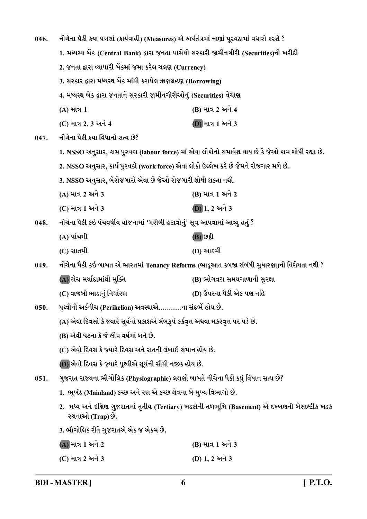| 046. | નીચેના પૈકી કયા પગલાં (કાર્યવાહી) (Measures) એ અર્થતંત્રમાં નાણાં પૂરવઠામાં વધારો કરશે ?                            |                                                                                                  |  |
|------|---------------------------------------------------------------------------------------------------------------------|--------------------------------------------------------------------------------------------------|--|
|      | 1. મધ્યસ્થ બેંક (Central Bank) દ્વારા જનતા પાસેથી સરકારી જામીનગીરી (Securities)ની ખરીદી                             |                                                                                                  |  |
|      | 2. જનતા દ્વારા વ્યાપારી બેંકમાં જમા કરેલ ચલણ (Currency)                                                             |                                                                                                  |  |
|      | 3. સરકાર દ્વારા મધ્યસ્થ બેંક માંથી કરાયેલ ઋણગ્રહણ (Borrowing)                                                       |                                                                                                  |  |
|      | 4. મધ્યસ્થ બેંક દ્વારા જનતાને સરકારી જામીનગીરીઓનું (Securities) વેચાણ                                               |                                                                                                  |  |
|      | (A) માત્ર 1                                                                                                         | (B) માત્ર 2 અને 4                                                                                |  |
|      | (C) માત્ર 2, 3 અને 4                                                                                                | (D) માત્ર 1 અને 3                                                                                |  |
| 047. | નીચેના પૈકી કયા વિધાનો સત્ય છે?                                                                                     |                                                                                                  |  |
|      |                                                                                                                     | 1. NSSO અનુસાર, કામ પુરવઠા (labour force) માં એવા લોકોનો સમાવેશ થાય છે કે જેઓ કામ શોધી રહ્યા છે. |  |
|      | 2. NSSO અનુસાર, કાર્ય પુરવઠો (work force) એવા લોકો ઉલ્લેખ કરે છે જેમને રોજગાર મળે છે.                               |                                                                                                  |  |
|      | 3. NSSO અનુસાર, બેરોજગારો એવા છે જેઓ રોજગારી શોધી શકતા નથી.                                                         |                                                                                                  |  |
|      | (A) માત્ર 2 અને 3                                                                                                   | (B) માત્ર 1 અને 2                                                                                |  |
|      | (C) માત્ર 1 અને 3                                                                                                   | $(D)$ 1, 2 અને 3                                                                                 |  |
| 048. | નીચેના પૈકી કઇ પંચવર્ષીય યોજનામાં 'ગરીબી હટાવોનું' સૂત્ર આપવામાં આવ્યુ હતું ?                                       |                                                                                                  |  |
|      | (A) પાંચમી                                                                                                          | (B) છઠ્ઠી                                                                                        |  |
|      | $(C)$ સાતમી                                                                                                         | (D) આઠમી                                                                                         |  |
| 049. |                                                                                                                     | નીચેના પૈકી કઇ બાબત એ ભારતમાં Tenancy Reforms (ભાડૂઆત કબજા સંબંધી સુધારણા)ની વિશેષતા નથી ?       |  |
|      | (A) ટોચ મર્યાદામાંથી મુક્તિ                                                                                         | (B) ભોગવટા સમયગાળાની સુરક્ષા                                                                     |  |
|      | (C) વાજબી ભાડાનું નિર્ધારણ                                                                                          | (D) ઉપરના પૈકી એક પણ નહિ                                                                         |  |
| 050. | પૃથ્વીની અર્કનીચ (Perihelion) અવસ્થાએ………ના સંદર્ભે હોય છે.                                                          |                                                                                                  |  |
|      | (A) એવા દિવસો કે જ્યારે સૂર્યનો પ્રકાશએ લંબરૂપે કર્કવૃત્ત અથવા મકરવૃત્ત પર પડે છે.                                  |                                                                                                  |  |
|      | (B) એવી ઘટના કે જે લીપ વર્ષમાં બને છે.                                                                              |                                                                                                  |  |
|      | (C) એવો દિવસ કે જ્યારે દિવસ અને રાતની લંબાઇ સમાન હોય છે.                                                            |                                                                                                  |  |
|      | (D) એવો દિવસ કે જ્યારે પૃથ્વીએ સૂર્યની સૌથી નજીક હોય છે.                                                            |                                                                                                  |  |
| 051. | ગુજરાત રાજ્યના ભૌગોલિક (Physiographic) લક્ષણો બાબતે નીચેના પૈકી કયું વિધાન સત્ય છે?                                 |                                                                                                  |  |
|      | 1.  ભૂખંડ (Mainland) કચ્છ અને રણ એ કચ્છ ક્ષેત્રના બે મુખ્ય વિભાગો છે.                                               |                                                                                                  |  |
|      | 2.  મધ્ય અને દક્ષિણ ગુજરાતમાં તૃતીય (Tertiary) ખડકોની તળભૂમિ (Basement) એ દખ્ખણની બેસાલ્ટીક ખડક<br>રચનાઓ (Trap) છે. |                                                                                                  |  |
|      | 3. ભૌગોલિક રીતે ગુજરાતએ એક જ એકમ છે.                                                                                |                                                                                                  |  |
|      | (A) માત્ર 1 અને 2                                                                                                   | (B) માત્ર 1 અને 3                                                                                |  |
|      | (C) માત્ર 2 અને 3                                                                                                   | (D) 1, 2 અને 3                                                                                   |  |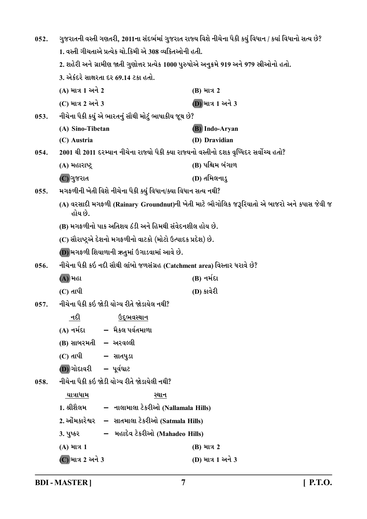| 052. | ગુજરાતની વસ્તી ગણતરી, 2011ના સંદર્ભમાં ગુજરાત રાજ્ય વિશે નીચેના પૈકી કયું વિધાન / કયાં વિધાનો સત્ય છે?<br>1. વસ્તી ગીચતાએ પ્રત્યેક ચો.કિમી એ 308 વ્યકિતઓની હતી. |                                                                                            |
|------|-----------------------------------------------------------------------------------------------------------------------------------------------------------------|--------------------------------------------------------------------------------------------|
|      |                                                                                                                                                                 |                                                                                            |
|      | 2. શહેરી અને ગ્રામીણ જાતી ગુણોત્તર પ્રત્યેક 1000 પુરુષોએ અનુક્રમે 919 અને 979 સ્રીઓનો હતો.                                                                      |                                                                                            |
|      | 3. એકંદરે સાક્ષરતા દર 69.14 ટકા હતો.                                                                                                                            |                                                                                            |
|      | (A) માત્ર 1 અને 2                                                                                                                                               | (B) માત્ર 2                                                                                |
|      | (C) માત્ર 2 અને 3                                                                                                                                               | (D) માત્ર 1 અને 3                                                                          |
| 053. | નીચેના પૈકી કયું એ ભારતનું સૌથી મોટું ભાષાકીય જૂથ છે?                                                                                                           |                                                                                            |
|      | (A) Sino-Tibetan                                                                                                                                                | <b>(B)</b> Indo-Aryan                                                                      |
|      | (C) Austria                                                                                                                                                     | (D) Dravidian                                                                              |
| 054. | 2001 થી 2011 દરમ્યાન નીચેના રાજ્યો પૈકી ક્યા રાજ્યનો વસ્તીનો દશક વૃધ્ધિદર સર્વોચ્ચ હતો?                                                                         |                                                                                            |
|      | (A) મહારાષ્ટ્ર                                                                                                                                                  | (B) પશ્ચિમ બંગાળ                                                                           |
|      | (C) ગુજરાત                                                                                                                                                      | (D) તમિલનાડુ                                                                               |
| 055. | મગફળીની ખેતી વિશે નીચેના પૈકી ક્યું વિધાન/ક્યા વિધાન સત્ય નથી?                                                                                                  |                                                                                            |
|      | હોય છે.                                                                                                                                                         | (A) વરસાદી મગફળી (Rainary Groundnut)ની ખેતી માટે ભૌગોલિક જરૂરિયાતો એ બાજરો અને કપાસ જેવી જ |
|      | (B) મગફળીનો પાક અતિશય ઠંડી અને હિમથી સંવેદનશીલ હોય છે.                                                                                                          |                                                                                            |
|      | (C) સૌરાષ્ટ્રએ દેશનો મગફળીનો વાટકો (મોટો ઉત્પાદક પ્રદેશ) છે.                                                                                                    |                                                                                            |
|      | (D) મગફળી શિયાળાની ઋતુમાં ઉગાડવામાં આવે છે.                                                                                                                     |                                                                                            |
| 056. | નીચેના પૈકી કઇ નદી સૌથી લાંબો જળસંગ્રહ (Catchment area) વિસ્તાર ધરાવે છે?                                                                                       |                                                                                            |
|      | (A) મહા                                                                                                                                                         | (B) નર્મદા                                                                                 |
|      | $(C)$ તાપી                                                                                                                                                      | (D) કાર્વેરી                                                                               |
| 057. | નીચેના પૈકી કઇ જોડી યોગ્ય રીતે જોડાયેલ નથી?                                                                                                                     |                                                                                            |
|      | નદી<br>ઉ <u>દ્ભવસ્થાન</u>                                                                                                                                       |                                                                                            |
|      | –  મૈકલ પર્વતમાળા<br>(A) નર્મદા                                                                                                                                 |                                                                                            |
|      | (B) સાબરમતી – અરવલ્લી                                                                                                                                           |                                                                                            |
|      | (C) તાપી<br>– સાતપુડા                                                                                                                                           |                                                                                            |
|      | $(D)$ ગોદાવરી – પૂર્વઘાટ                                                                                                                                        |                                                                                            |
| 058. | નીચેના પૈકી કઇ જોડી યોગ્ય રીતે જોડાયેલી નથી?                                                                                                                    |                                                                                            |
|      | <u>યાત્રાધામ</u><br>સ્થાન                                                                                                                                       |                                                                                            |
|      | 1. શ્રીશૈલમ<br>– નાલામાલા ટેકરીઓ (Nallamala Hills)                                                                                                              |                                                                                            |
|      | 2. ઓમકારેશ્વર<br>– સાતમાલા ટેકરીઓ (Satmala Hills)                                                                                                               |                                                                                            |
|      | – મહાદેવ ટેકરીઓ (Mahadeo Hills)<br>3. પુષ્કર                                                                                                                    |                                                                                            |
|      | (A) માત્ર 1                                                                                                                                                     | (B) માત્ર 2                                                                                |
|      | (C) માત્ર 2 અને 3                                                                                                                                               | (D) માત્ર 1 અને 3                                                                          |

**BDI - MASTER ] 7 [ P.T.O.**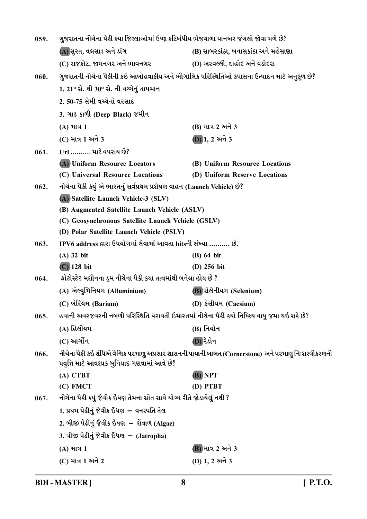| 059. | ગુજરાતના નીચેના પૈકી ક્યા જિલ્લાઓમાં ઉષ્ણ કટિબંધીય ભેજવાળા પાનખર જંગલો જોવા મળે છે? |                                                                                                         |
|------|-------------------------------------------------------------------------------------|---------------------------------------------------------------------------------------------------------|
|      | (A) સુરત, વલસાડ અને ડાંગ                                                            | (B) સાબરકાંઠા, બનાસકાંઠા અને મહેસાણા                                                                    |
|      | (C) રાજકોટ, જામનગર અને ભાવનગર                                                       | (D) અરવલ્લી, દાહોદ અને વડોદરા                                                                           |
| 060. |                                                                                     | ગુજરાતની નીચેના પૈકીની કઇ આબોહવાકીય અને ભૌગોલિક પરિસ્થિતિઓ કપાસના ઉત્પાદન માટે અનુકૂળ છે?               |
|      | 1. 21° સે. થી 30° સે. ની વચ્ચેનું તાપમાન                                            |                                                                                                         |
|      | 2. 50-75 સેમી વચ્ચેનો વરસાદ                                                         |                                                                                                         |
|      | 3. ગાઢ કાળી (Deep Black) જમીન                                                       |                                                                                                         |
|      | (A) માત્ર 1                                                                         | (B) માત્ર 2 અને 3                                                                                       |
|      | (C) માત્ર 1 અને 3                                                                   | $(D)$ 1, 2 અને 3                                                                                        |
| 061. | Url  માટે વપરાય છે?                                                                 |                                                                                                         |
|      | (A) Uniform Resource Locators                                                       | (B) Uniform Resource Locations                                                                          |
|      | (C) Universal Resource Locations                                                    | (D) Uniform Reserve Locations                                                                           |
| 062. | નીચેના પૈકી કયું એ ભારતનું સર્વપ્રથમ પ્રશેષણ વાહન (Launch Vehicle) છે?              |                                                                                                         |
|      | (A) Satellite Launch Vehicle-3 (SLV)                                                |                                                                                                         |
|      | (B) Augmented Satellite Launch Vehicle (ASLV)                                       |                                                                                                         |
|      | (C) Geosynchronous Satellite Launch Vehicle (GSLV)                                  |                                                                                                         |
|      | (D) Polar Satellite Launch Vehicle (PSLV)                                           |                                                                                                         |
| 063. | IPV6 address દ્વારા ઉપયોગમાં લેવામાં આવતા bitsની સંખ્યા  છે.                        |                                                                                                         |
|      | $(A)$ 32 bit                                                                        | $(B)$ 64 bit                                                                                            |
|      | $(C)$ 128 bit                                                                       | (D) 256 bit                                                                                             |
| 064. | ફોટોસ્ટેટ મશીનના ડ્રમ નીચેના પૈકી કયા તત્વમાંથી બનેલા હોય છે ?                      |                                                                                                         |
|      | (A) એલ્યુમિનિયમ (Alluminium)                                                        | <b>(B)</b> સેલેનીયમ (Selenium)                                                                          |
|      | (C) બેરિયમ (Barium)                                                                 | (D) કેસીયમ (Caesium)                                                                                    |
| 065. |                                                                                     | હવાની અવરજવરની નબળી પરિસ્થિતિ ધરાવતી ઇમારતમાં નીચેના પૈકી કયો નિષ્ક્રિય વાયુ જમા થઇ શકે છે?             |
|      | (A) હિલીયમ                                                                          | (B) નિયોન                                                                                               |
|      | (C) આર્ગોન                                                                          | (D) રેડોન                                                                                               |
| 066. | પ્રવૃત્તિ માટે આવશ્યક બુનિયાદ ગણવામાં આવે છે?                                       | નીચેના પૈકી કઇ સંધિએ વૈશ્વિક પરમાણુ અપ્રસાર શાસનની પાયાની બાબત (Cornerstone) અને પરમાણુ નિઃશસ્ત્રીકરણની |
|      | (A) CTBT                                                                            | (B) NPT                                                                                                 |
|      | (C) FMCT                                                                            | (D) PTBT                                                                                                |
| 067. | નીચેના પૈકી કયું જૈવીક ઇંધણ તેમના સ્રોત સાથે યોગ્ય રીતે જોડાયેલું નથી ?             |                                                                                                         |
|      | 1. પ્રથમ પેઢીનું જૈવીક ઇંધણ  – વનસ્પતિ તેલ                                          |                                                                                                         |
|      | 2. બીજી પેઢીનું જૈવીક ઇંધણ  – શેંવાળ (Algae)                                        |                                                                                                         |
|      | 3. ત્રીજી પેઢીનું જૈવીક ઇંધણ – (Jatropha)                                           |                                                                                                         |
|      | (A) માત્ર 1                                                                         | <b>B</b> ) માત્ર 2 અને 3                                                                                |
|      | (C) માત્ર 1 અને 2                                                                   | (D) 1, 2 અને 3                                                                                          |
|      |                                                                                     |                                                                                                         |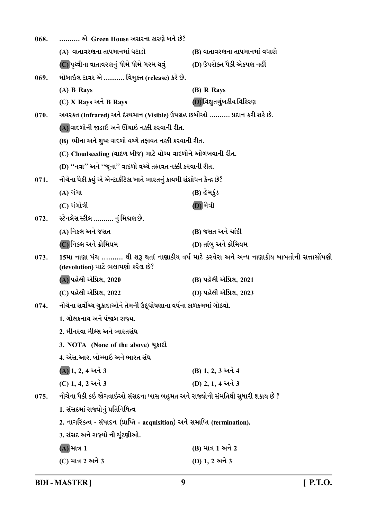| 068. | ………. એ  Green House અસરના કારણે બને છે?                                       |                                                                                              |
|------|-------------------------------------------------------------------------------|----------------------------------------------------------------------------------------------|
|      | (A) વાતાવરણના તાપમાનમાં ઘટાડો                                                 | (B) વાતાવરણના તાપમાનમાં વધારો                                                                |
|      | (C)પૃથ્વીના વાતાવરણનું ધીમે ધીમે ગરમ થવું                                     | (D) ઉપરોક્ત પૈકી એકપણ નહીં                                                                   |
| 069. | મોબાઇલ ટાવર એ  વિમુક્ત (release) કરે છે.                                      |                                                                                              |
|      | (A) B Rays                                                                    | (B) R Rays                                                                                   |
|      | (C) X Rays અને B Rays                                                         | (D) વિદ્યુતચુંબકીય વિકિરણ                                                                    |
| 070. | અવરક્ત (Infrared) અને દેશ્યમાન (Visible) ઉપગ્રહ છબીઓ  પ્રદાન કરી શકે છે.      |                                                                                              |
|      | (A) વાદળોની જાડાઇ અને ઊંચાઇ નક્કી કરવાની રીત.                                 |                                                                                              |
|      | (B) ભીના અને શુષ્ક વાદળો વચ્ચે તફાવત નક્કી કરવાની રીત.                        |                                                                                              |
|      | (C) Cloudseeding (વાદળ બીજ) માટે યોગ્ય વાદળોને ઓળખવાની રીત.                   |                                                                                              |
|      | (D) "નવા'' અને "જૂના'' વાદળો વચ્ચે તફાવત નક્કી કરવાની રીત.                    |                                                                                              |
| 071. | નીચેના પૈકી કયું એ એન્ટાર્કટિકા ખાતે ભારતનું કાયમી સંશોધન કેન્દ્ર છે?         |                                                                                              |
|      | $(A)$ ગંગા                                                                    | (B) હેમકુંડ                                                                                  |
|      | $(C)$ ગંગોત્રી                                                                | (D) મૈત્રી                                                                                   |
| 072. | સ્ટેનલેસ સ્ટીલ ………. નું મિશ્રણ છે.                                            |                                                                                              |
|      | (A) નિકલ અને જસત                                                              | (B) જસત અને ચાંદી                                                                            |
|      | (C)નિકલ અને ક્રોમિયમ                                                          | (D) તાંબુ અને ક્રોમિયમ                                                                       |
| 073. | (devolution) માટે ભલામણો કરેલ છે?                                             | 15મા નાણા પંચ ………. થી શરૂ થતાં નાણાકીય વર્ષ માટે કરવેરા અને અન્ય નાણાકીય બાબતોની સત્તાસોંપણી |
|      | (A) પહેલી એપ્રિલ, 2020                                                        | (B) પહેલી એપ્રિલ, 2021                                                                       |
|      | (C) પહેલી એપ્રિલ, 2022                                                        | (D) પહેલી એપ્રિલ, 2023                                                                       |
| 074. | નીચેના સર્વોચ્ચ ચુકાદાઓને તેમની ઉદ્દઘોષણાના વર્ષના કાળક્રમમાં ગોઠવો.          |                                                                                              |
|      | 1. ગોલકનાથ અને પંજાબ રાજ્ય.                                                   |                                                                                              |
|      | 2. મીનરવા મીલ્સ અને ભારતસંઘ                                                   |                                                                                              |
|      | 3. NOTA (None of the above) यूड़ाहो                                           |                                                                                              |
|      | 4. એસ.આર. બોમ્માઇ અને ભારત સંઘ                                                |                                                                                              |
|      | $(A)$ 1, 2, 4 અને 3                                                           | (B) 1, 2, 3 અને 4                                                                            |
|      | (C) 1, 4, 2 અને 3                                                             | (D) 2, 1, 4 અને 3                                                                            |
| 075. | નીચેના પૈકી કઇ જોગવાઇઓ સંસદના ખાસ બહુમત અને રાજ્યોની સંમતિથી સુધારી શકાય છે ? |                                                                                              |
|      | 1. સંસદમાં રાજ્યોનું પ્રતિનિધિત્વ                                             |                                                                                              |
|      | 2. નાગરિકત્વ - સંપાદન (પ્રાપ્તિ - acquisition) અને સમાપ્તિ (termination).     |                                                                                              |
|      | 3. સંસદ અને રાજ્યો ની ચૂંટણીઓ.                                                |                                                                                              |
|      | (A) માત્ર 1                                                                   | (B) માત્ર 1 અને 2                                                                            |
|      | (C) માત્ર 2 અને 3                                                             | (D) 1, 2 અને 3                                                                               |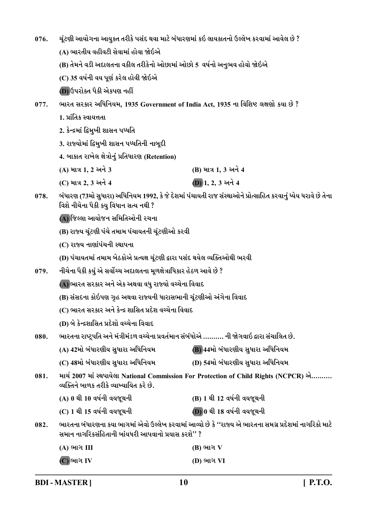| 076.                                                                       | ચૂંટણી આયોગના આયુક્ત તરીકે પસંદ થવા માટે બંધારણમાં કઇ લાયકાતનો ઉલ્લેખ કરવામાં આવેલ છે ?                                                                       |                                                                                                               |  |
|----------------------------------------------------------------------------|---------------------------------------------------------------------------------------------------------------------------------------------------------------|---------------------------------------------------------------------------------------------------------------|--|
|                                                                            | (A) ભારતીય વહીવટી સેવામાં હોવા જોઇએ                                                                                                                           |                                                                                                               |  |
|                                                                            | (B) તેમને વડી અદાલતના વકીલ તરીકેનો ઓછામાં ઓછો 5  વર્ષનો અનુભવ હોવો જોઇએ                                                                                       |                                                                                                               |  |
|                                                                            | (C) 35 વર્ષની વય પૂર્ણ કરેલ હોવી જોઇએ                                                                                                                         |                                                                                                               |  |
|                                                                            | (D) ઉપરોક્ત પૈકી એકપણ નહીં                                                                                                                                    |                                                                                                               |  |
| 077.                                                                       | ભારત સરકાર અધિનિયમ, 1935 Government of India Act, 1935 ના વિશિષ્ટ લક્ષણો કયા છે ?                                                                             |                                                                                                               |  |
|                                                                            | 1. પ્રાંતિક સ્વાયત્તતા                                                                                                                                        |                                                                                                               |  |
|                                                                            | 2. કેન્દ્રમાં  દ્વિમુખી શાસન પધ્ધતિ                                                                                                                           |                                                                                                               |  |
|                                                                            | 3. રાજ્યોમાં દ્વિમુખી શાસન પધ્ધતિની નાબૂદી                                                                                                                    |                                                                                                               |  |
|                                                                            | 4. બાકાત રાખેલ ક્ષેત્રોનું પ્રતિધારણ (Retention)                                                                                                              |                                                                                                               |  |
|                                                                            | (A) માત્ર 1, 2 અને 3                                                                                                                                          | (B) માત્ર 1, 3 અને 4                                                                                          |  |
|                                                                            | (C) માત્ર 2, 3 અને 4                                                                                                                                          | $(D)$ 1, 2, 3 અને 4                                                                                           |  |
| 078.                                                                       | વિશે નીચેના પૈકી કયુ વિધાન સત્ય નથી ?                                                                                                                         | બંધારણ (73મો સુધારા) અધિનિયમ 1992, કે જે દેશમાં પંચાયતી રાજ સંસ્થાઓને પ્રોત્સાહિત કરવાનું ધ્યેય ધરાવે છે તેના |  |
|                                                                            | (A) જિલ્લા આયોજન સમિતિઓની રચના                                                                                                                                |                                                                                                               |  |
|                                                                            | (B) રાજ્ય ચૂંટણી પંચે તમામ પંચાયતની ચૂંટણીઓ કરવી                                                                                                              |                                                                                                               |  |
|                                                                            | (C) રાજ્ય નાણાંપંચની સ્થાપના                                                                                                                                  |                                                                                                               |  |
|                                                                            | (D) પંચાયતમાં તમામ બેઠકોએ પ્રત્યક્ષ ચૂંટણી દ્વારા પસંદ થયેલ વ્યક્તિઓથી ભરવી                                                                                   |                                                                                                               |  |
| નીચેના પૈકી કયું એ સર્વોચ્ચ અદાલતના મૂળક્ષેત્રાધિકાર હેઠળ આવે છે ?<br>079. |                                                                                                                                                               |                                                                                                               |  |
|                                                                            | (A) ભારત સરકાર અને એક અથવા વધુ રાજ્યો વચ્ચેના વિવાદ                                                                                                           |                                                                                                               |  |
|                                                                            | (B) સંસદના કોઇપણ ગૃહ અથવા રાજ્યની ધારાસભાની ચૂંટણીઓ અંગેના વિવાદ                                                                                              |                                                                                                               |  |
|                                                                            | (C) ભારત સરકાર અને કેન્દ્ર શાસિત પ્રદેશ વચ્ચેના વિવાદ                                                                                                         |                                                                                                               |  |
|                                                                            | (D) બે કેન્દ્રશાસિત પ્રદેશો વચ્ચેના વિવાદ                                                                                                                     |                                                                                                               |  |
| 080.                                                                       | ભારતના રાષ્ટ્રપતિ અને મંત્રીમંડળ વચ્ચેના પ્રવર્તમાન સંબંધોએ ………. ની જોગવાઇ દ્વારા સંચાલિત છે.                                                                 |                                                                                                               |  |
|                                                                            | (A) 42મો બંધારણીય સુધારા અધિનિયમ                                                                                                                              | (B) 44મો બંધારણીય સુધારા અધિનિયમ                                                                              |  |
|                                                                            | (C) 48મો બંધારણીય સુધારા અધિનિયમ                                                                                                                              | (D) 54મો બંધારણીય સુધારા અધિનિયમ                                                                              |  |
| 081.                                                                       | વ્યક્તિને બાળક તરીકે વ્યાખ્યાયિત કરે છે.                                                                                                                      | માર્ચ 2007 માં સ્થપાયેલા National Commission For Protection of Child Rights (NCPCR) એ                         |  |
|                                                                            | (A) 0 થી 10 વર્ષની વયજૂથની                                                                                                                                    | (B) 1 થી 12 વર્ષની વયજૂથની                                                                                    |  |
|                                                                            | (C) 1 થી 15 વર્ષની વયજૂથની                                                                                                                                    | (D) 0 થી 18 વર્ષની વયજૂથની                                                                                    |  |
| 082.                                                                       | ભારતના બંધારણના કયા ભાગમાં એવો ઉલ્લેખ કરવામાં આવ્યો છે કે ''રાજ્ય એ ભારતના સમગ્ર પ્રદેશમાં નાગરિકો માટે<br>સમાન નાગરિકસંહિતાની બાંયધરી આપવાનો પ્રયાસ કરશે'' ? |                                                                                                               |  |
|                                                                            | (A) ભાગ III                                                                                                                                                   | $(B)$ ભાગ $V$                                                                                                 |  |
|                                                                            | (C) ભાગ IV                                                                                                                                                    | (D) ભાગ VI                                                                                                    |  |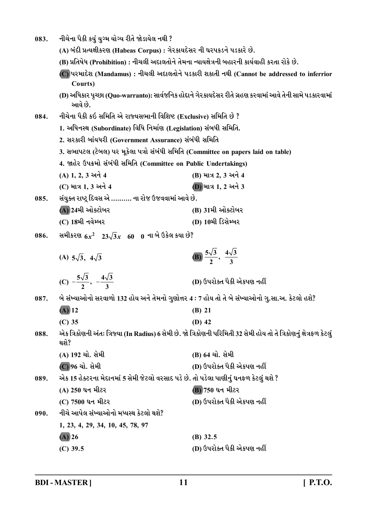| 083. | નીચેના પૈકી કયું યુગ્મ યોગ્ય રીતે જોડાયેલ નથી ?                                                 |                                                                                                                      |
|------|-------------------------------------------------------------------------------------------------|----------------------------------------------------------------------------------------------------------------------|
|      | (A) બંદી પ્રત્યક્ષીકરણ (Habeas Corpus) : ગેરકાયદેસર ની ઘરપકડને પડકારે છે.                       |                                                                                                                      |
|      | (B) પ્રતિષેધ (Prohibition) : નીચલી અદાલતોને તેમના ન્યાયક્ષેત્રની બહારની કાર્યવાહી કરતા રોકે છે. |                                                                                                                      |
|      | Courts)                                                                                         | (C) પરમાદેશ (Mandamus) : નીચલી અદાલતોને પડકારી શકાતી નથી (Cannot be addressed to inferrior                           |
|      | આવે છે.                                                                                         | (D) અધિકાર પૃચ્છા (Quo-warranto): સાર્વજનિક હોદ્દાને ગેરકાયદેસર રીતે ગ્રહણ કરવામાં આવે તેની સામે પડકારવામાં          |
| 084. | નીચેના પૈકી કઇ સમિતિ એ રાજ્યસભાની વિશિષ્ટ (Exclusive) સમિતિ છે ?                                |                                                                                                                      |
|      | 1. અધિનસ્થ (Subordinate) વિધિ નિર્માણ (Legislation) સંબધી સમિતિ.                                |                                                                                                                      |
|      | 2. સરકારી બાંયધરી (Government Assurance) સંબંધી સમિતિ                                           |                                                                                                                      |
|      | 3. સભાપટલ (ટેબલ) પર મૂકેલા પત્રો સંબંધી સમિતિ (Committee on papers laid on table)               |                                                                                                                      |
|      | 4. જાહેર ઉપક્રમો સંબંધી સમિતિ (Committee on Public Undertakings)                                |                                                                                                                      |
|      | (A) 1, 2, 3 અને 4                                                                               | (B) માત્ર 2, 3 અને 4                                                                                                 |
|      | (C) માત્ર 1, 3 અને 4                                                                            | (D) માત્ર 1, 2 અને 3                                                                                                 |
| 085. | સંયુક્ત રાષ્ટ્ર દિવસ એ ………. ના રોજ ઉજવવામાં આવે છે.                                             |                                                                                                                      |
|      | (A) 24મી ઓક્ટોબર                                                                                | (B) 31મી ઓક્ટોબર                                                                                                     |
|      | (C) 18મી નવેમ્બર                                                                                | (D) 10મી ડિસેમ્બર                                                                                                    |
| 086. | સમીકરણ $6x^2$ 23 $\sqrt{3}x$ 60 0 ના બે ઉકેલ કયા છે?                                            |                                                                                                                      |
|      | (A) $5\sqrt{3}$ , $4\sqrt{3}$                                                                   | (B) $\frac{5\sqrt{3}}{2}, \frac{4\sqrt{3}}{3}$                                                                       |
|      | (C) $-\frac{5\sqrt{3}}{2}, -\frac{4\sqrt{3}}{2}$                                                | (D) ઉપરોક્ત પૈકી એકપણ નહીં                                                                                           |
| 087. | બે સંખ્યાઓનો સરવાળો 132 હોય અને તેમનો ગુણોત્તર 4 : 7 હોય તો તે બે સંખ્યાઓનો ગુ.સા.અ. કેટલો હશે? |                                                                                                                      |
|      | $(A)$ 12<br>(B) 21                                                                              |                                                                                                                      |
|      | $(C)$ 35                                                                                        | $(D)$ 42                                                                                                             |
| 088. | થશે?                                                                                            | એક ત્રિકોણની અંતઃ ત્રિજ્યા (In Radius) 6 સેમી છે. જો ત્રિકોણની પરિમિતી 32 સેમી હોય તો તે ત્રિકોણનું ક્ષેત્રફળ કેટલું |
|      | (A) 192 ચો. સેમી                                                                                | (B) 64 ચો. સેમી                                                                                                      |
|      | (C) 96 ચો. સેમી                                                                                 | (D) ઉપરોક્ત પૈકી એકપણ નહીં                                                                                           |
| 089. | એક 15 હેક્ટરના મેદાનમાં 5 સેમી જેટલો વરસાદ પડે છે. તો પડેલા પાણીનું ઘનફળ કેટલું થશે ?           |                                                                                                                      |
|      | (A) 250 ઘન મીટર                                                                                 | (B) 750 ઘન મીટર                                                                                                      |
|      | (C) 7500 ઘન મીટર                                                                                | (D) ઉપરોક્ત પૈકી એકપણ નહીં                                                                                           |
| 090. | નીચે આપેલ સંખ્યાઓનો મધ્યસ્થ કેટલો થશે?                                                          |                                                                                                                      |
|      | 1, 23, 4, 29, 34, 10, 45, 78, 97                                                                |                                                                                                                      |
|      | $(A)$ 26                                                                                        | $(B)$ 32.5                                                                                                           |
|      | $(C)$ 39.5                                                                                      | (D) ઉપરોક્ત પૈકી એકપણ નહીં                                                                                           |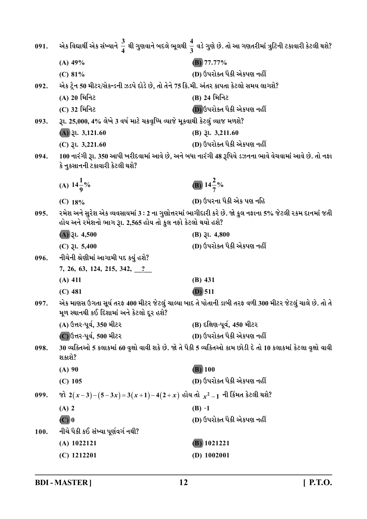| 091. |                                                                                       | એક વિદ્યાર્થી એક સંખ્યાને $\frac{3}{4}$ થી ગુણવાને બદલે ભૂલથી $\frac{4}{3}$ વડે ગુણે છે. તો આ ગણતરીમાં ત્રુટિની ટકાવારી કેટલી થશે? |
|------|---------------------------------------------------------------------------------------|------------------------------------------------------------------------------------------------------------------------------------|
|      | $(A)$ 49%                                                                             | $(B)$ 77.77%                                                                                                                       |
|      | (C) 81%                                                                               | (D) ઉપરોક્ત પૈકી એકપણ નહીં                                                                                                         |
| 092. | એક ટ્રેન 50 મીટર/સેકન્ડની ઝડપે દોડે છે, તો તેને 75 કિ.મી. અંતર કાપતા કેટલો સમય લાગશે? |                                                                                                                                    |
|      | (A) 20 મિનિટ                                                                          | (B) 24 મિનિટ                                                                                                                       |
|      | (C) 32 મિનિટ                                                                          | (D) ઉપરોક્ત પૈકી એકપણ નહીં                                                                                                         |
| 093. | રૂા. 25,000, 4% લેખે 3 વર્ષ માટે ચક્રવૃધ્ધિ વ્યાજે મૂકવાથી કેટલું વ્યાજ મળશે?         |                                                                                                                                    |
|      | $(A)$ 3l. 3,121.60                                                                    | $(B)$ <i>Ql.</i> 3,211.60                                                                                                          |
|      | $(C)$ $\lambda$ l. 3,221.60                                                           | (D) ઉપરોક્ત પૈકી એકપણ નહીં                                                                                                         |
| 094. | કે નુકસાનની ટકાવારી કેટલી થશે?                                                        | 100 નારંગી રૂા. 350 આપી ખરીદવામાં આવે છે, અને બધા નારંગી 48 રૂપિયે ડઝનના ભાવે વેચવામાં આવે છે. તો નફા                              |
|      | (A) $14\frac{1}{9}\%$                                                                 | (B) $14\frac{2}{7}\%$                                                                                                              |
|      | $(C)$ 18%                                                                             | (D) ઉપરના પૈકી એક પણ નહિ                                                                                                           |
| 095. | હોય અને રમેશનો ભાગ રૂા. 2,565 હોય તો કુલ નફો કેટલો થયો હશે?                           | રમેશ અને સુરેશ એક વ્યવસાયમાં 3 : 2 ના ગુણોત્તરમાં ભાગીદારી કરે છે. જો કુલ નફાના 5% જેટલી રકમ દાનમાં જતી                            |
|      | $(A)$ $\lambda$ . 4,500                                                               | $(B)$ $\xi$ l. 4,800                                                                                                               |
|      | $(C)$ $\xi$ l. 5,400                                                                  | (D) ઉપરોક્ત પૈકી એકપણ નહીં                                                                                                         |
| 096. | નીચેની શ્રેણીમાં આગામી પદ કયું હશે?                                                   |                                                                                                                                    |
|      | 7, 26, 63, 124, 215, 342, 2                                                           |                                                                                                                                    |
|      | $(A)$ 411                                                                             | $(B)$ 431                                                                                                                          |
|      | $(C)$ 481                                                                             | $(D)$ 511                                                                                                                          |
| 097. | મૂળ સ્થાનથી કઈ દિશામાં અને કેટલો દૂર હશે?                                             | એક માણસ ઉગતા સૂર્ય તરફ 400 મીટર જેટલું ચાલ્યા બાદ તે પોતાની ડાબી તરફ વળી 300 મીટર જેટલું ચાલે છે. તો તે                            |
|      | (A) ઉત્તર-પૂર્વ, 350 મીટર                                                             | (B) દક્ષિણ-પૂર્વ, 450 મીટર                                                                                                         |
|      | (C) ઉત્તર-પૂર્વ, 500 મીટર                                                             | (D) ઉપરોક્ત પૈકી એકપણ નહીં                                                                                                         |
| 098. | શકાશે?                                                                                | 30 વ્યક્તિઓ 5 કલાકમાં 60 વૃક્ષો વાવી શકે છે. જો તે પૈકી 5 વ્યક્તિઓ કામ છોડી દે તો 10 કલાકમાં કેટલા વૃક્ષો વાવી                     |
|      | $(A)$ 90                                                                              | $\overline{(\mathbf{B})}$ 100                                                                                                      |
|      | $(C)$ 105                                                                             | (D) ઉપરોક્ત પૈકી એકપણ નહીં                                                                                                         |
| 099. | જો 2(x-3)−(5-3x)=3(x+1)−4(2+x) હોય તો $x^2-1$ ની કિંમત કેટલી થશે?                     |                                                                                                                                    |
|      | $(A)$ 2                                                                               | $(B) -1$                                                                                                                           |
|      | $(C)$ <sup>0</sup>                                                                    | (D) ઉપરોક્ત પૈકી એકપણ નહીં                                                                                                         |
| 100. | નીચે પૈકી કઈ સંખ્યા પૂર્ણવર્ગ નથી?                                                    |                                                                                                                                    |
|      | $(A)$ 1022121                                                                         | $(B)$ 1021221                                                                                                                      |
|      | $(C)$ 1212201                                                                         | $(D)$ 1002001                                                                                                                      |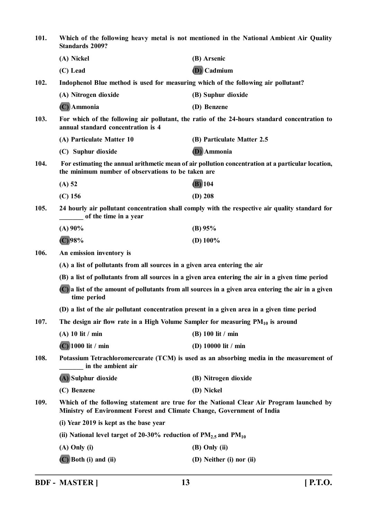**101. Which of the following heavy metal is not mentioned in the National Ambient Air Quality Standards 2009? (A) Nickel (B) Arsenic (C) Lead (D) Cadmium 102. Indophenol Blue method is used for measuring which of the following air pollutant? (A) Nitrogen dioxide (B) Suphur dioxide (C) Ammonia (D) Benzene 103. For which of the following air pollutant, the ratio of the 24-hours standard concentration to annual standard concentration is 4 (A) Particulate Matter 10 (B) Particulate Matter 2.5 (C) Suphur dioxide (D) Ammonia 104. For estimating the annual arithmetic mean of air pollution concentration at a particular location, the minimum number of observations to be taken are (A) 52 (B) 104 (C) 156 (D) 208 105. 24 hourly air pollutant concentration shall comply with the respective air quality standard for \_\_\_\_\_\_\_ of the time in a year (A) 90% (B) 95% (C) 98% (D) 100% 106. An emission inventory is (A) a list of pollutants from all sources in a given area entering the air (B) a list of pollutants from all sources in a given area entering the air in a given time period (C) a list of the amount of pollutants from all sources in a given area entering the air in a given time period (D) a list of the air pollutant concentration present in a given area in a given time period 107. The design air flow rate in a High Volume Sampler for measuring PM10 is around (A) 10 lit / min (B) 100 lit / min (C) 1000 lit / min (D) 10000 lit / min 108. Potassium Tetrachloromercurate (TCM) is used as an absorbing media in the measurement of \_\_\_\_\_\_\_ in the ambient air (A) Sulphur dioxide (B) Nitrogen dioxide (C) Benzene (D) Nickel 109. Which of the following statement are true for the National Clear Air Program launched by Ministry of Environment Forest and Climate Change, Government of India (i) Year 2019 is kept as the base year** (ii) National level target of 20-30% reduction of  $PM_{2.5}$  and  $PM_{10}$ **(A) Only (i) (B) Only (ii) (C) Both (i) and (ii) (D) Neither (i) nor (ii)**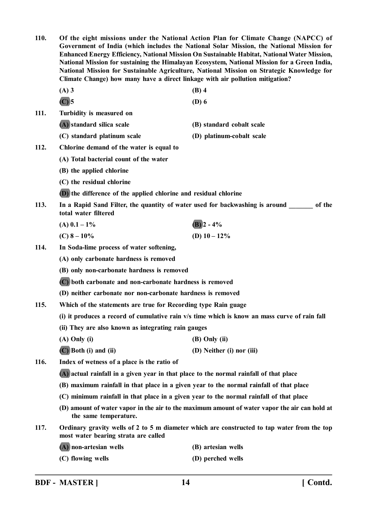**110. Of the eight missions under the National Action Plan for Climate Change (NAPCC) of Government of India (which includes the National Solar Mission, the National Mission for Enhanced Energy Efficiency, National Mission On Sustainable Habitat, National Water Mission, National Mission for sustaining the Himalayan Ecosystem, National Mission for a Green India, National Mission for Sustainable Agriculture, National Mission on Strategic Knowledge for Climate Change) how many have a direct linkage with air pollution mitigation? (A) 3 (B) 4 (C) 5 (D) 6 111. Turbidity is measured on (A) standard silica scale (B) standard cobalt scale (C) standard platinum scale (D) platinum-cobalt scale 112. Chlorine demand of the water is equal to (A) Total bacterial count of the water (B) the applied chlorine (C) the residual chlorine (D) the difference of the applied chlorine and residual chlorine 113.** In a Rapid Sand Filter, the quantity of water used for backwashing is around of the **total water filtered (A)**  $0.1 - 1\%$  **(B)**  $2 - 4\%$ **(C)**  $8-10\%$  **(D)**  $10-12\%$ **114. In Soda-lime process of water softening, (A) only carbonate hardness is removed (B) only non-carbonate hardness is removed (C) both carbonate and non-carbonate hardness is removed (D) neither carbonate nor non-carbonate hardness is removed 115. Which of the statements are true for Recording type Rain guage (i) it produces a record of cumulative rain v/s time which is know an mass curve of rain fall (ii) They are also known as integrating rain gauges (A) Only (i) (B) Only (ii) (C) Both (i) and (ii) (D) Neither (i) nor (iii) 116. Index of wetness of a place is the ratio of (A) actual rainfall in a given year in that place to the normal rainfall of that place (B) maximum rainfall in that place in a given year to the normal rainfall of that place (C) minimum rainfall in that place in a given year to the normal rainfall of that place (D) amount of water vapor in the air to the maximum amount of water vapor the air can hold at the same temperature. 117. Ordinary gravity wells of 2 to 5 m diameter which are constructed to tap water from the top most water bearing strata are called (A) non-artesian wells (B) artesian wells (C) flowing wells (D) perched wells**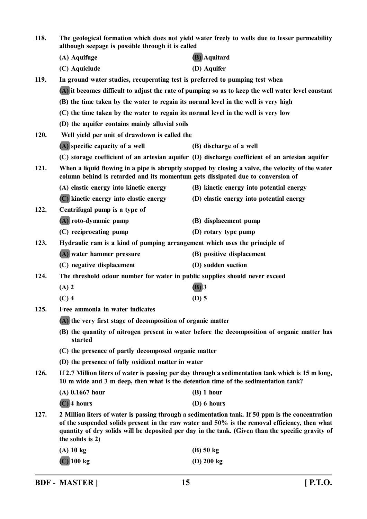| 118. | The geological formation which does not yield water freely to wells due to lesser permeability<br>although seepage is possible through it is called                                      |                                                                                                                                                                                                                                                                                                         |
|------|------------------------------------------------------------------------------------------------------------------------------------------------------------------------------------------|---------------------------------------------------------------------------------------------------------------------------------------------------------------------------------------------------------------------------------------------------------------------------------------------------------|
|      | (A) Aquifuge                                                                                                                                                                             | (B) Aquitard                                                                                                                                                                                                                                                                                            |
|      | (C) Aquiclude                                                                                                                                                                            | (D) Aquifer                                                                                                                                                                                                                                                                                             |
| 119. | In ground water studies, recuperating test is preferred to pumping test when                                                                                                             |                                                                                                                                                                                                                                                                                                         |
|      | (A) it becomes difficult to adjust the rate of pumping so as to keep the well water level constant                                                                                       |                                                                                                                                                                                                                                                                                                         |
|      | (B) the time taken by the water to regain its normal level in the well is very high                                                                                                      |                                                                                                                                                                                                                                                                                                         |
|      | (C) the time taken by the water to regain its normal level in the well is very low                                                                                                       |                                                                                                                                                                                                                                                                                                         |
|      | (D) the aquifer contains mainly alluvial soils                                                                                                                                           |                                                                                                                                                                                                                                                                                                         |
| 120. | Well yield per unit of drawdown is called the                                                                                                                                            |                                                                                                                                                                                                                                                                                                         |
|      | (A) specific capacity of a well                                                                                                                                                          | (B) discharge of a well                                                                                                                                                                                                                                                                                 |
|      |                                                                                                                                                                                          | (C) storage coefficient of an artesian aquifer (D) discharge coefficient of an artesian aquifer                                                                                                                                                                                                         |
| 121. | When a liquid flowing in a pipe is abruptly stopped by closing a valve, the velocity of the water<br>column behind is retarded and its momentum gets dissipated due to conversion of     |                                                                                                                                                                                                                                                                                                         |
|      | (A) elastic energy into kinetic energy                                                                                                                                                   | (B) kinetic energy into potential energy                                                                                                                                                                                                                                                                |
|      | (C) kinetic energy into elastic energy                                                                                                                                                   | (D) elastic energy into potential energy                                                                                                                                                                                                                                                                |
| 122. | Centrifugal pump is a type of                                                                                                                                                            |                                                                                                                                                                                                                                                                                                         |
|      | (A) roto-dynamic pump                                                                                                                                                                    | (B) displacement pump                                                                                                                                                                                                                                                                                   |
|      | (C) reciprocating pump                                                                                                                                                                   | (D) rotary type pump                                                                                                                                                                                                                                                                                    |
| 123. | Hydraulic ram is a kind of pumping arrangement which uses the principle of                                                                                                               |                                                                                                                                                                                                                                                                                                         |
|      | (A) water hammer pressure                                                                                                                                                                | (B) positive displacement                                                                                                                                                                                                                                                                               |
|      | (C) negative displacement                                                                                                                                                                | (D) sudden suction                                                                                                                                                                                                                                                                                      |
| 124. | The threshold odour number for water in public supplies should never exceed                                                                                                              |                                                                                                                                                                                                                                                                                                         |
|      | $(A)$ 2                                                                                                                                                                                  | $(B)$ 3                                                                                                                                                                                                                                                                                                 |
|      | $(C)$ 4                                                                                                                                                                                  | $(D)$ 5                                                                                                                                                                                                                                                                                                 |
| 125. | Free ammonia in water indicates                                                                                                                                                          |                                                                                                                                                                                                                                                                                                         |
|      | (A) the very first stage of decomposition of organic matter                                                                                                                              |                                                                                                                                                                                                                                                                                                         |
|      | (B) the quantity of nitrogen present in water before the decomposition of organic matter has<br>started                                                                                  |                                                                                                                                                                                                                                                                                                         |
|      | (C) the presence of partly decomposed organic matter                                                                                                                                     |                                                                                                                                                                                                                                                                                                         |
|      | (D) the presence of fully oxidized matter in water                                                                                                                                       |                                                                                                                                                                                                                                                                                                         |
| 126. | If 2.7 Million liters of water is passing per day through a sedimentation tank which is 15 m long,<br>10 m wide and 3 m deep, then what is the detention time of the sedimentation tank? |                                                                                                                                                                                                                                                                                                         |
|      | $(A)$ 0.1667 hour                                                                                                                                                                        | $(B)$ 1 hour                                                                                                                                                                                                                                                                                            |
|      | $(C)$ 4 hours                                                                                                                                                                            | (D) 6 hours                                                                                                                                                                                                                                                                                             |
| 127. | the solids is 2)                                                                                                                                                                         | 2 Million liters of water is passing through a sedimentation tank. If 50 ppm is the concentration<br>of the suspended solids present in the raw water and 50% is the removal efficiency, then what<br>quantity of dry solids will be deposited per day in the tank. (Given than the specific gravity of |
|      | $(A)$ 10 kg                                                                                                                                                                              | $(B)$ 50 kg                                                                                                                                                                                                                                                                                             |
|      | $(C)$ 100 kg                                                                                                                                                                             | $(D)$ 200 kg                                                                                                                                                                                                                                                                                            |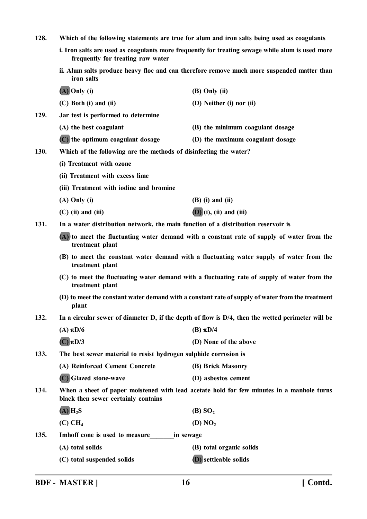| 128.                                                                                                      | Which of the following statements are true for alum and iron salts being used as coagulants                                           |                                                                                                   |  |
|-----------------------------------------------------------------------------------------------------------|---------------------------------------------------------------------------------------------------------------------------------------|---------------------------------------------------------------------------------------------------|--|
|                                                                                                           | i. Iron salts are used as coagulants more frequently for treating sewage while alum is used more<br>frequently for treating raw water |                                                                                                   |  |
|                                                                                                           | ii. Alum salts produce heavy floc and can therefore remove much more suspended matter than<br>iron salts                              |                                                                                                   |  |
|                                                                                                           | $(A)$ Only (i)                                                                                                                        | (B) Only (ii)                                                                                     |  |
|                                                                                                           | $(C)$ Both $(i)$ and $(ii)$                                                                                                           | (D) Neither (i) nor (ii)                                                                          |  |
| 129.                                                                                                      | Jar test is performed to determine                                                                                                    |                                                                                                   |  |
|                                                                                                           | (A) the best coagulant                                                                                                                | (B) the minimum coagulant dosage                                                                  |  |
|                                                                                                           | (C) the optimum coagulant dosage                                                                                                      | (D) the maximum coagulant dosage                                                                  |  |
| 130.                                                                                                      | Which of the following are the methods of disinfecting the water?                                                                     |                                                                                                   |  |
|                                                                                                           | (i) Treatment with ozone                                                                                                              |                                                                                                   |  |
|                                                                                                           | (ii) Treatment with excess lime                                                                                                       |                                                                                                   |  |
|                                                                                                           | (iii) Treatment with iodine and bromine                                                                                               |                                                                                                   |  |
|                                                                                                           | $(A)$ Only $(i)$                                                                                                                      | $(B)$ (i) and (ii)                                                                                |  |
|                                                                                                           | $(C)$ (ii) and (iii)                                                                                                                  | $(D)$ (i), (ii) and (iii)                                                                         |  |
| 131.                                                                                                      | In a water distribution network, the main function of a distribution reservoir is                                                     |                                                                                                   |  |
|                                                                                                           | (A) to meet the fluctuating water demand with a constant rate of supply of water from the<br>treatment plant                          |                                                                                                   |  |
|                                                                                                           | (B) to meet the constant water demand with a fluctuating water supply of water from the<br>treatment plant                            |                                                                                                   |  |
|                                                                                                           | (C) to meet the fluctuating water demand with a fluctuating rate of supply of water from the<br>treatment plant                       |                                                                                                   |  |
| (D) to meet the constant water demand with a constant rate of supply of water from the treatment<br>plant |                                                                                                                                       |                                                                                                   |  |
| 132.                                                                                                      |                                                                                                                                       | In a circular sewer of diameter D, if the depth of flow is D/4, then the wetted perimeter will be |  |
|                                                                                                           | (A) $\pi D/6$                                                                                                                         | (B) $\pi D/4$                                                                                     |  |
|                                                                                                           | $(C)$ $\pi$ D/3                                                                                                                       | (D) None of the above                                                                             |  |
| 133.                                                                                                      | The best sewer material to resist hydrogen sulphide corrosion is                                                                      |                                                                                                   |  |
|                                                                                                           | (A) Reinforced Cement Concrete                                                                                                        | (B) Brick Masonry                                                                                 |  |
|                                                                                                           | (C) Glazed stone-wave                                                                                                                 | (D) asbestos cement                                                                               |  |
| 134.                                                                                                      | When a sheet of paper moistened with lead acetate hold for few minutes in a manhole turns<br>black then sewer certainly contains      |                                                                                                   |  |
|                                                                                                           | $(A)$ $H_2S$                                                                                                                          | (B) SO <sub>2</sub>                                                                               |  |
|                                                                                                           | (C) CH <sub>4</sub>                                                                                                                   | (D) $NO2$                                                                                         |  |
| 135.                                                                                                      | Imhoff cone is used to measure<br>in sewage                                                                                           |                                                                                                   |  |
|                                                                                                           | (A) total solids                                                                                                                      | (B) total organic solids                                                                          |  |
|                                                                                                           | (C) total suspended solids                                                                                                            | <b>(D)</b> settleable solids                                                                      |  |
|                                                                                                           |                                                                                                                                       |                                                                                                   |  |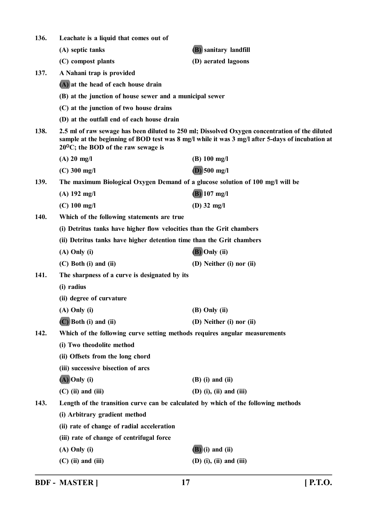| 136.        | Leachate is a liquid that comes out of                                                                                                                                                                                                             |                           |  |
|-------------|----------------------------------------------------------------------------------------------------------------------------------------------------------------------------------------------------------------------------------------------------|---------------------------|--|
|             | (A) septic tanks                                                                                                                                                                                                                                   | (B) sanitary landfill     |  |
|             | (C) compost plants                                                                                                                                                                                                                                 | (D) aerated lagoons       |  |
| 137.        | A Nahani trap is provided                                                                                                                                                                                                                          |                           |  |
|             | (A) at the head of each house drain                                                                                                                                                                                                                |                           |  |
|             | (B) at the junction of house sewer and a municipal sewer                                                                                                                                                                                           |                           |  |
|             | (C) at the junction of two house drains                                                                                                                                                                                                            |                           |  |
|             | (D) at the outfall end of each house drain                                                                                                                                                                                                         |                           |  |
| 138.        | 2.5 ml of raw sewage has been diluted to 250 ml; Dissolved Oxygen concentration of the diluted<br>sample at the beginning of BOD test was 8 mg/l while it was 3 mg/l after 5-days of incubation at<br>$20^{\circ}$ C; the BOD of the raw sewage is |                           |  |
|             | $(A)$ 20 mg/l                                                                                                                                                                                                                                      | $(B) 100$ mg/l            |  |
|             | $(C)$ 300 mg/l                                                                                                                                                                                                                                     | $(D)$ 500 mg/l            |  |
| 139.        | The maximum Biological Oxygen Demand of a glucose solution of 100 mg/l will be                                                                                                                                                                     |                           |  |
|             | $(A)$ 192 mg/l                                                                                                                                                                                                                                     | $(B)$ 107 mg/l            |  |
|             | $(C)$ 100 mg/l                                                                                                                                                                                                                                     | $(D)$ 32 mg/l             |  |
| <b>140.</b> | Which of the following statements are true                                                                                                                                                                                                         |                           |  |
|             | (i) Detritus tanks have higher flow velocities than the Grit chambers                                                                                                                                                                              |                           |  |
|             | (ii) Detritus tanks have higher detention time than the Grit chambers                                                                                                                                                                              |                           |  |
|             | $(A)$ Only $(i)$                                                                                                                                                                                                                                   | (B) Only (ii)             |  |
|             | $(C)$ Both $(i)$ and $(ii)$                                                                                                                                                                                                                        | (D) Neither (i) nor (ii)  |  |
| 141.        | The sharpness of a curve is designated by its                                                                                                                                                                                                      |                           |  |
|             | (i) radius                                                                                                                                                                                                                                         |                           |  |
|             | (ii) degree of curvature                                                                                                                                                                                                                           |                           |  |
|             | $(A)$ Only $(i)$                                                                                                                                                                                                                                   | $(B)$ Only $(ii)$         |  |
|             | (C) Both (i) and (ii)                                                                                                                                                                                                                              | (D) Neither (i) nor (ii)  |  |
| 142.        | Which of the following curve setting methods requires angular measurements                                                                                                                                                                         |                           |  |
|             | (i) Two theodolite method                                                                                                                                                                                                                          |                           |  |
|             | (ii) Offsets from the long chord                                                                                                                                                                                                                   |                           |  |
|             | (iii) successive bisection of arcs                                                                                                                                                                                                                 |                           |  |
|             | $(A)$ Only (i)                                                                                                                                                                                                                                     | $(B)$ (i) and (ii)        |  |
|             | $(C)$ (ii) and (iii)                                                                                                                                                                                                                               | $(D)$ (i), (ii) and (iii) |  |
| 143.        | Length of the transition curve can be calculated by which of the following methods                                                                                                                                                                 |                           |  |
|             | (i) Arbitrary gradient method                                                                                                                                                                                                                      |                           |  |
|             | (ii) rate of change of radial acceleration                                                                                                                                                                                                         |                           |  |
|             | (iii) rate of change of centrifugal force                                                                                                                                                                                                          |                           |  |
|             | $(A)$ Only $(i)$                                                                                                                                                                                                                                   | $(B)$ (i) and (ii)        |  |
|             | $(C)$ (ii) and (iii)                                                                                                                                                                                                                               | $(D)$ (i), (ii) and (iii) |  |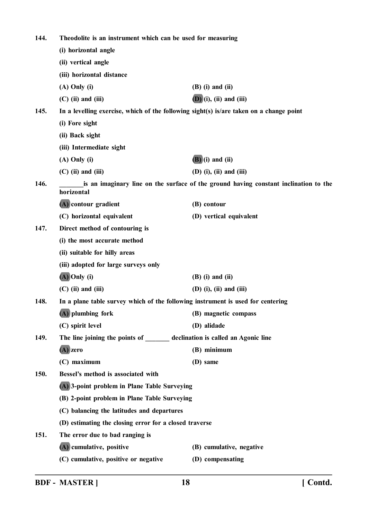| 144. | Theodolite is an instrument which can be used for measuring                                        |                           |  |
|------|----------------------------------------------------------------------------------------------------|---------------------------|--|
|      | (i) horizontal angle                                                                               |                           |  |
|      | (ii) vertical angle                                                                                |                           |  |
|      | (iii) horizontal distance                                                                          |                           |  |
|      | $(A)$ Only $(i)$                                                                                   | $(B)$ (i) and (ii)        |  |
|      | $(C)$ (ii) and (iii)                                                                               | $(D)$ (i), (ii) and (iii) |  |
| 145. | In a levelling exercise, which of the following sight(s) is/are taken on a change point            |                           |  |
|      | (i) Fore sight                                                                                     |                           |  |
|      | (ii) Back sight                                                                                    |                           |  |
|      | (iii) Intermediate sight                                                                           |                           |  |
|      | $(A)$ Only $(i)$                                                                                   | $(B)$ (i) and (ii)        |  |
|      | $(C)$ (ii) and (iii)                                                                               | $(D)$ (i), (ii) and (iii) |  |
| 146. | is an imaginary line on the surface of the ground having constant inclination to the<br>horizontal |                           |  |
|      | (A) contour gradient                                                                               | (B) contour               |  |
|      | (C) horizontal equivalent                                                                          | (D) vertical equivalent   |  |
| 147. | Direct method of contouring is                                                                     |                           |  |
|      | (i) the most accurate method                                                                       |                           |  |
|      | (ii) suitable for hilly areas                                                                      |                           |  |
|      | (iii) adopted for large surveys only                                                               |                           |  |
|      | $(A)$ Only (i)                                                                                     | $(B)$ (i) and (ii)        |  |
|      | $(C)$ (ii) and (iii)                                                                               | $(D)$ (i), (ii) and (iii) |  |
| 148. | In a plane table survey which of the following instrument is used for centering                    |                           |  |
|      | (A) plumbing fork                                                                                  | (B) magnetic compass      |  |
|      | (C) spirit level                                                                                   | (D) alidade               |  |
| 149. | The line joining the points of ________ declination is called an Agonic line                       |                           |  |
|      | $(A)$ zero                                                                                         | (B) minimum               |  |
|      | (C) maximum                                                                                        | (D) same                  |  |
| 150. | Bessel's method is associated with                                                                 |                           |  |
|      | (A) 3-point problem in Plane Table Surveying                                                       |                           |  |
|      | (B) 2-point problem in Plane Table Surveying                                                       |                           |  |
|      | (C) balancing the latitudes and departures                                                         |                           |  |
|      | (D) estimating the closing error for a closed traverse                                             |                           |  |
| 151. | The error due to bad ranging is                                                                    |                           |  |
|      | (A) cumulative, positive                                                                           | (B) cumulative, negative  |  |
|      | (C) cumulative, positive or negative                                                               | (D) compensating          |  |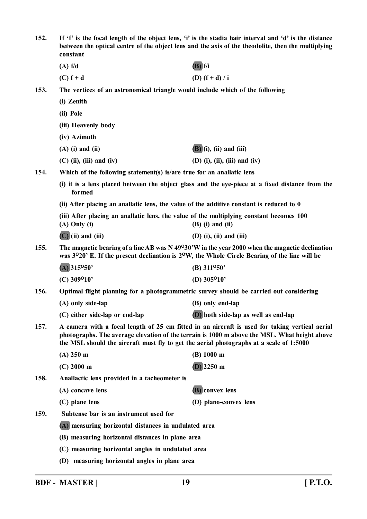| 152.                                                                                                                                                                                                                                                                                              | If 'f' is the focal length of the object lens, 'i' is the stadia hair interval and 'd' is the distance<br>between the optical centre of the object lens and the axis of the theodolite, then the multiplying<br>constant |                                                                                                                                                                                                                            |
|---------------------------------------------------------------------------------------------------------------------------------------------------------------------------------------------------------------------------------------------------------------------------------------------------|--------------------------------------------------------------------------------------------------------------------------------------------------------------------------------------------------------------------------|----------------------------------------------------------------------------------------------------------------------------------------------------------------------------------------------------------------------------|
|                                                                                                                                                                                                                                                                                                   | (A) f/d                                                                                                                                                                                                                  | $(B)$ f/i                                                                                                                                                                                                                  |
|                                                                                                                                                                                                                                                                                                   | $(C) f + d$                                                                                                                                                                                                              | (D) $(f + d) / i$                                                                                                                                                                                                          |
| 153.                                                                                                                                                                                                                                                                                              | The vertices of an astronomical triangle would include which of the following                                                                                                                                            |                                                                                                                                                                                                                            |
|                                                                                                                                                                                                                                                                                                   | (i) Zenith                                                                                                                                                                                                               |                                                                                                                                                                                                                            |
|                                                                                                                                                                                                                                                                                                   | (ii) Pole                                                                                                                                                                                                                |                                                                                                                                                                                                                            |
|                                                                                                                                                                                                                                                                                                   | (iii) Heavenly body                                                                                                                                                                                                      |                                                                                                                                                                                                                            |
|                                                                                                                                                                                                                                                                                                   | (iv) Azimuth                                                                                                                                                                                                             |                                                                                                                                                                                                                            |
|                                                                                                                                                                                                                                                                                                   | $(A)$ (i) and (ii)                                                                                                                                                                                                       | $(B)$ (i), (ii) and (iii)                                                                                                                                                                                                  |
|                                                                                                                                                                                                                                                                                                   | $(C)$ (ii), (iii) and (iv)                                                                                                                                                                                               | $(D)$ (i), (ii), (iii) and (iv)                                                                                                                                                                                            |
| 154.                                                                                                                                                                                                                                                                                              | Which of the following statement(s) is/are true for an anallatic lens                                                                                                                                                    |                                                                                                                                                                                                                            |
|                                                                                                                                                                                                                                                                                                   | (i) it is a lens placed between the object glass and the eye-piece at a fixed distance from the<br>formed                                                                                                                |                                                                                                                                                                                                                            |
|                                                                                                                                                                                                                                                                                                   | (ii) After placing an anallatic lens, the value of the additive constant is reduced to 0                                                                                                                                 |                                                                                                                                                                                                                            |
|                                                                                                                                                                                                                                                                                                   | (iii) After placing an anallatic lens, the value of the multiplying constant becomes 100<br>$(A)$ Only $(i)$                                                                                                             | $(B)$ (i) and (ii)                                                                                                                                                                                                         |
|                                                                                                                                                                                                                                                                                                   | $(C)(ii)$ and (iii)                                                                                                                                                                                                      | $(D)$ (i), (ii) and (iii)                                                                                                                                                                                                  |
| 155.                                                                                                                                                                                                                                                                                              |                                                                                                                                                                                                                          | The magnetic bearing of a line AB was $N$ 49°30'W in the year 2000 when the magnetic declination<br>was 3 <sup>o</sup> 20' E. If the present declination is 2 <sup>o</sup> W, the Whole Circle Bearing of the line will be |
|                                                                                                                                                                                                                                                                                                   | $(A)$ 315°50'                                                                                                                                                                                                            | (B) $311^{\circ}50'$                                                                                                                                                                                                       |
|                                                                                                                                                                                                                                                                                                   | $(C)$ 309 <sup>o</sup> 10'                                                                                                                                                                                               | (D) $305^{\circ}10'$                                                                                                                                                                                                       |
| 156.                                                                                                                                                                                                                                                                                              | Optimal flight planning for a photogrammetric survey should be carried out considering                                                                                                                                   |                                                                                                                                                                                                                            |
|                                                                                                                                                                                                                                                                                                   | (A) only side-lap                                                                                                                                                                                                        | (B) only end-lap                                                                                                                                                                                                           |
|                                                                                                                                                                                                                                                                                                   | (C) either side-lap or end-lap                                                                                                                                                                                           | (D) both side-lap as well as end-lap                                                                                                                                                                                       |
| A camera with a focal length of 25 cm fitted in an aircraft is used for taking vertical aerial<br>157.<br>photographs. The average elevation of the terrain is 1000 m above the MSL. What height above<br>the MSL should the aircraft must fly to get the aerial photographs at a scale of 1:5000 |                                                                                                                                                                                                                          |                                                                                                                                                                                                                            |
|                                                                                                                                                                                                                                                                                                   | $(A)$ 250 m                                                                                                                                                                                                              | (B) 1000 m                                                                                                                                                                                                                 |
|                                                                                                                                                                                                                                                                                                   | $(C)$ 2000 m                                                                                                                                                                                                             | $(D)$ 2250 m                                                                                                                                                                                                               |
| 158.                                                                                                                                                                                                                                                                                              | Anallactic lens provided in a tacheometer is                                                                                                                                                                             |                                                                                                                                                                                                                            |
|                                                                                                                                                                                                                                                                                                   | (A) concave lens                                                                                                                                                                                                         | (B) convex lens                                                                                                                                                                                                            |
|                                                                                                                                                                                                                                                                                                   | (C) plane lens                                                                                                                                                                                                           | (D) plano-convex lens                                                                                                                                                                                                      |
| 159.                                                                                                                                                                                                                                                                                              | Subtense bar is an instrument used for                                                                                                                                                                                   |                                                                                                                                                                                                                            |
|                                                                                                                                                                                                                                                                                                   | (A) measuring horizontal distances in undulated area                                                                                                                                                                     |                                                                                                                                                                                                                            |
|                                                                                                                                                                                                                                                                                                   | (B) measuring horizontal distances in plane area                                                                                                                                                                         |                                                                                                                                                                                                                            |
|                                                                                                                                                                                                                                                                                                   | (C) measuring horizontal angles in undulated area                                                                                                                                                                        |                                                                                                                                                                                                                            |
|                                                                                                                                                                                                                                                                                                   | (D) measuring horizontal angles in plane area                                                                                                                                                                            |                                                                                                                                                                                                                            |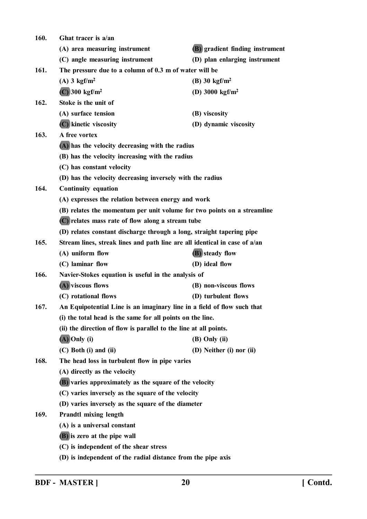| 160. | Ghat tracer is a/an                                                        |                                        |  |
|------|----------------------------------------------------------------------------|----------------------------------------|--|
|      | (A) area measuring instrument                                              | <b>(B)</b> gradient finding instrument |  |
|      | (C) angle measuring instrument                                             | (D) plan enlarging instrument          |  |
| 161. | The pressure due to a column of 0.3 m of water will be                     |                                        |  |
|      | $(A)$ 3 kgf/m <sup>2</sup>                                                 | (B) 30 $\text{kgf/m}^2$                |  |
|      | $(C)$ 300 kgf/m <sup>2</sup>                                               | (D) 3000 $\text{kgf/m}^2$              |  |
| 162. | Stoke is the unit of                                                       |                                        |  |
|      | (A) surface tension                                                        | (B) viscosity                          |  |
|      | (C) kinetic viscosity                                                      | (D) dynamic viscosity                  |  |
| 163. | A free vortex                                                              |                                        |  |
|      | (A) has the velocity decreasing with the radius                            |                                        |  |
|      | (B) has the velocity increasing with the radius                            |                                        |  |
|      | (C) has constant velocity                                                  |                                        |  |
|      | (D) has the velocity decreasing inversely with the radius                  |                                        |  |
| 164. | <b>Continuity equation</b>                                                 |                                        |  |
|      | (A) expresses the relation between energy and work                         |                                        |  |
|      | (B) relates the momentum per unit volume for two points on a streamline    |                                        |  |
|      | (C) relates mass rate of flow along a stream tube                          |                                        |  |
|      | (D) relates constant discharge through a long, straight tapering pipe      |                                        |  |
| 165. | Stream lines, streak lines and path line are all identical in case of a/an |                                        |  |
|      | (A) uniform flow                                                           | <b>(B)</b> steady flow                 |  |
|      | (C) laminar flow                                                           | (D) ideal flow                         |  |
| 166. | Navier-Stokes equation is useful in the analysis of                        |                                        |  |
|      | (A) viscous flows                                                          | (B) non-viscous flows                  |  |
|      | (C) rotational flows                                                       | (D) turbulent flows                    |  |
| 167. | An Equipotential Line is an imaginary line in a field of flow such that    |                                        |  |
|      | (i) the total head is the same for all points on the line.                 |                                        |  |
|      | (ii) the direction of flow is parallel to the line at all points.          |                                        |  |
|      | $(A)$ Only (i)                                                             | $(B)$ Only $(ii)$                      |  |
|      | $(C)$ Both $(i)$ and $(ii)$                                                | (D) Neither (i) nor (ii)               |  |
| 168. | The head loss in turbulent flow in pipe varies                             |                                        |  |
|      | (A) directly as the velocity                                               |                                        |  |
|      | <b>(B)</b> varies approximately as the square of the velocity              |                                        |  |
|      | (C) varies inversely as the square of the velocity                         |                                        |  |
|      | (D) varies inversely as the square of the diameter                         |                                        |  |
| 169. | <b>Prandtl mixing length</b>                                               |                                        |  |
|      | (A) is a universal constant                                                |                                        |  |
|      | (B) is zero at the pipe wall                                               |                                        |  |
|      | (C) is independent of the shear stress                                     |                                        |  |
|      | (D) is independent of the radial distance from the pipe axis               |                                        |  |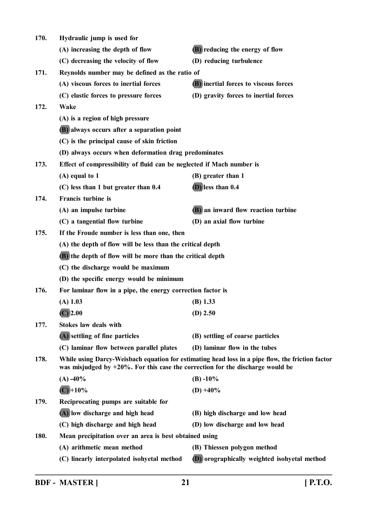| 170. | Hydraulic jump is used for                                                                                                                                                             |                                              |
|------|----------------------------------------------------------------------------------------------------------------------------------------------------------------------------------------|----------------------------------------------|
|      | (A) increasing the depth of flow                                                                                                                                                       | <b>(B)</b> reducing the energy of flow       |
|      | (C) decreasing the velocity of flow                                                                                                                                                    | (D) reducing turbulence                      |
| 171. | Reynolds number may be defined as the ratio of                                                                                                                                         |                                              |
|      | (A) viscous forces to inertial forces                                                                                                                                                  | (B) inertial forces to viscous forces        |
|      | (C) elastic forces to pressure forces                                                                                                                                                  | (D) gravity forces to inertial forces        |
| 172. | Wake                                                                                                                                                                                   |                                              |
|      | (A) is a region of high pressure                                                                                                                                                       |                                              |
|      | (B) always occurs after a separation point                                                                                                                                             |                                              |
|      | (C) is the principal cause of skin friction                                                                                                                                            |                                              |
|      | (D) always occurs when deformation drag predominates                                                                                                                                   |                                              |
| 173. | Effect of compressibility of fluid can be neglected if Mach number is                                                                                                                  |                                              |
|      | $(A)$ equal to 1                                                                                                                                                                       | (B) greater than 1                           |
|      | (C) less than 1 but greater than 0.4                                                                                                                                                   | $(D)$ less than $0.4$                        |
| 174. | Francis turbine is                                                                                                                                                                     |                                              |
|      | (A) an impulse turbine                                                                                                                                                                 | (B) an inward flow reaction turbine          |
|      | (C) a tangential flow turbine                                                                                                                                                          | (D) an axial flow turbine                    |
| 175. | If the Froude number is less than one, then                                                                                                                                            |                                              |
|      | (A) the depth of flow will be less than the critical depth                                                                                                                             |                                              |
|      | (B) the depth of flow will be more than the critical depth                                                                                                                             |                                              |
|      | (C) the discharge would be maximum                                                                                                                                                     |                                              |
|      | (D) the specific energy would be minimum                                                                                                                                               |                                              |
| 176. | For laminar flow in a pipe, the energy correction factor is                                                                                                                            |                                              |
|      | $(A)$ 1.03                                                                                                                                                                             | $(B)$ 1.33                                   |
|      | $(C)$ 2.00                                                                                                                                                                             | $(D)$ 2.50                                   |
| 177. | <b>Stokes law deals with</b>                                                                                                                                                           |                                              |
|      | (A) settling of fine particles                                                                                                                                                         | (B) settling of coarse particles             |
|      | (C) laminar flow between parallel plates                                                                                                                                               | (D) laminar flow in the tubes                |
| 178. | While using Darcy-Weisbach equation for estimating head loss in a pipe flow, the friction factor<br>was misjudged by $+20\%$ . For this case the correction for the discharge would be |                                              |
|      | $(A) -40\%$                                                                                                                                                                            | $(B) - 10\%$                                 |
|      | $(C) + 10\%$                                                                                                                                                                           | $(D) + 40\%$                                 |
| 179. | Reciprocating pumps are suitable for                                                                                                                                                   |                                              |
|      | (A) low discharge and high head                                                                                                                                                        | (B) high discharge and low head              |
|      | (C) high discharge and high head                                                                                                                                                       | (D) low discharge and low head               |
| 180. | Mean precipitation over an area is best obtained using                                                                                                                                 |                                              |
|      | (A) arithmetic mean method                                                                                                                                                             | (B) Thiessen polygon method                  |
|      | (C) linearly interpolated isohyetal method                                                                                                                                             | (D) orographically weighted isohyetal method |
|      |                                                                                                                                                                                        |                                              |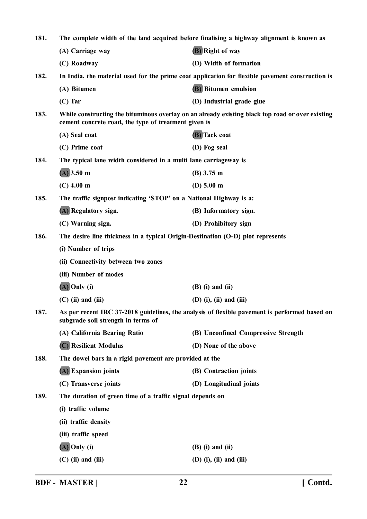| 181. | The complete width of the land acquired before finalising a highway alignment is known as |                                                                                                  |
|------|-------------------------------------------------------------------------------------------|--------------------------------------------------------------------------------------------------|
|      | (A) Carriage way                                                                          | (B) Right of way                                                                                 |
|      | (C) Roadway                                                                               | (D) Width of formation                                                                           |
| 182. |                                                                                           | In India, the material used for the prime coat application for flexible pavement construction is |
|      | (A) Bitumen                                                                               | <b>(B)</b> Bitumen emulsion                                                                      |
|      | $(C)$ Tar                                                                                 | (D) Industrial grade glue                                                                        |
| 183. | cement concrete road, the type of treatment given is                                      | While constructing the bituminous overlay on an already existing black top road or over existing |
|      | (A) Seal coat                                                                             | (B) Tack coat                                                                                    |
|      | (C) Prime coat                                                                            | (D) Fog seal                                                                                     |
| 184. | The typical lane width considered in a multi lane carriageway is                          |                                                                                                  |
|      | $(A)$ 3.50 m                                                                              | $(B)$ 3.75 m                                                                                     |
|      | $(C)$ 4.00 m                                                                              | (D) $5.00 \text{ m}$                                                                             |
| 185. | The traffic signpost indicating 'STOP' on a National Highway is a:                        |                                                                                                  |
|      | (A) Regulatory sign.                                                                      | (B) Informatory sign.                                                                            |
|      | (C) Warning sign.                                                                         | (D) Prohibitory sign                                                                             |
| 186. | The desire line thickness in a typical Origin-Destination (O-D) plot represents           |                                                                                                  |
|      | (i) Number of trips                                                                       |                                                                                                  |
|      | (ii) Connectivity between two zones                                                       |                                                                                                  |
|      | (iii) Number of modes                                                                     |                                                                                                  |
|      | $(A)$ Only (i)                                                                            | $(B)$ (i) and (ii)                                                                               |
|      | $(C)$ (ii) and (iii)                                                                      | $(D)$ (i), (ii) and (iii)                                                                        |
| 187. | subgrade soil strength in terms of                                                        | As per recent IRC 37-2018 guidelines, the analysis of flexible pavement is performed based on    |
|      | (A) California Bearing Ratio                                                              | (B) Unconfined Compressive Strength                                                              |
|      | (C) Resilient Modulus                                                                     | (D) None of the above                                                                            |
| 188. | The dowel bars in a rigid pavement are provided at the                                    |                                                                                                  |
|      | (A) Expansion joints                                                                      | (B) Contraction joints                                                                           |
|      | (C) Transverse joints                                                                     | (D) Longitudinal joints                                                                          |
| 189. | The duration of green time of a traffic signal depends on                                 |                                                                                                  |
|      | (i) traffic volume                                                                        |                                                                                                  |
|      | (ii) traffic density                                                                      |                                                                                                  |
|      | (iii) traffic speed                                                                       |                                                                                                  |
|      | $(A)$ Only (i)                                                                            | $(B)$ (i) and (ii)                                                                               |
|      | $(C)$ (ii) and (iii)                                                                      | $(D)$ (i), (ii) and (iii)                                                                        |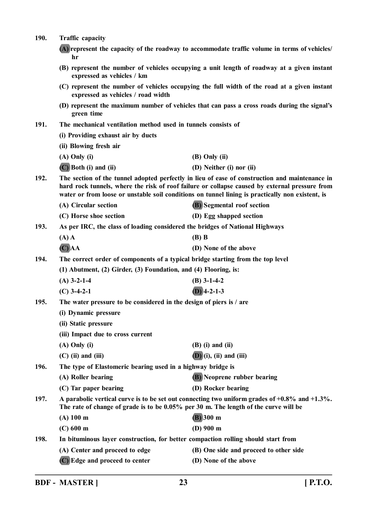| <b>190.</b> | <b>Traffic capacity</b>                                                                                                  |                                                                                                                                                                                                                                                                                                      |
|-------------|--------------------------------------------------------------------------------------------------------------------------|------------------------------------------------------------------------------------------------------------------------------------------------------------------------------------------------------------------------------------------------------------------------------------------------------|
|             | (A) represent the capacity of the roadway to accommodate traffic volume in terms of vehicles/<br>hr                      |                                                                                                                                                                                                                                                                                                      |
|             | (B) represent the number of vehicles occupying a unit length of roadway at a given instant<br>expressed as vehicles / km |                                                                                                                                                                                                                                                                                                      |
|             | expressed as vehicles / road width                                                                                       | (C) represent the number of vehicles occupying the full width of the road at a given instant                                                                                                                                                                                                         |
|             | green time                                                                                                               | (D) represent the maximum number of vehicles that can pass a cross roads during the signal's                                                                                                                                                                                                         |
| 191.        | The mechanical ventilation method used in tunnels consists of                                                            |                                                                                                                                                                                                                                                                                                      |
|             | (i) Providing exhaust air by ducts                                                                                       |                                                                                                                                                                                                                                                                                                      |
|             | (ii) Blowing fresh air                                                                                                   |                                                                                                                                                                                                                                                                                                      |
|             | $(A)$ Only $(i)$                                                                                                         | $(B)$ Only $(ii)$                                                                                                                                                                                                                                                                                    |
|             | $(C)$ Both (i) and (ii)                                                                                                  | (D) Neither (i) nor (ii)                                                                                                                                                                                                                                                                             |
| 192.        |                                                                                                                          | The section of the tunnel adopted perfectly in lieu of ease of construction and maintenance in<br>hard rock tunnels, where the risk of roof failure or collapse caused by external pressure from<br>water or from loose or unstable soil conditions on tunnel lining is practically non existent, is |
|             | (A) Circular section                                                                                                     | <b>(B)</b> Segmental roof section                                                                                                                                                                                                                                                                    |
|             | (C) Horse shoe section                                                                                                   | (D) Egg shapped section                                                                                                                                                                                                                                                                              |
| 193.        | As per IRC, the class of loading considered the bridges of National Highways                                             |                                                                                                                                                                                                                                                                                                      |
|             | $(A)$ A                                                                                                                  | $(B)$ B                                                                                                                                                                                                                                                                                              |
|             | $(C)$ AA                                                                                                                 | (D) None of the above                                                                                                                                                                                                                                                                                |
| 194.        | The correct order of components of a typical bridge starting from the top level                                          |                                                                                                                                                                                                                                                                                                      |
|             | (1) Abutment, (2) Girder, (3) Foundation, and (4) Flooring, is:                                                          |                                                                                                                                                                                                                                                                                                      |
|             | $(A)$ 3-2-1-4                                                                                                            | $(B)$ 3-1-4-2                                                                                                                                                                                                                                                                                        |
|             | $(C)$ 3-4-2-1                                                                                                            | $(D)$ 4-2-1-3                                                                                                                                                                                                                                                                                        |
| 195.        | The water pressure to be considered in the design of piers is / are                                                      |                                                                                                                                                                                                                                                                                                      |
|             | (i) Dynamic pressure                                                                                                     |                                                                                                                                                                                                                                                                                                      |
|             | (ii) Static pressure                                                                                                     |                                                                                                                                                                                                                                                                                                      |
|             | (iii) Impact due to cross current                                                                                        |                                                                                                                                                                                                                                                                                                      |
|             | $(A)$ Only $(i)$                                                                                                         | $(B)$ (i) and (ii)                                                                                                                                                                                                                                                                                   |
|             | $(C)$ (ii) and (iii)                                                                                                     | $(D)$ (i), (ii) and (iii)                                                                                                                                                                                                                                                                            |
| 196.        | The type of Elastomeric bearing used in a highway bridge is                                                              |                                                                                                                                                                                                                                                                                                      |
|             | (A) Roller bearing                                                                                                       | <b>(B)</b> Neoprene rubber bearing                                                                                                                                                                                                                                                                   |
|             | (C) Tar paper bearing                                                                                                    | (D) Rocker bearing                                                                                                                                                                                                                                                                                   |
| 197.        | The rate of change of grade is to be 0.05% per 30 m. The length of the curve will be                                     | A parabolic vertical curve is to be set out connecting two uniform grades of $+0.8\%$ and $+1.3\%$ .                                                                                                                                                                                                 |
|             | (A) 100 m                                                                                                                | $(B)$ 300 m                                                                                                                                                                                                                                                                                          |
|             | $(C)$ 600 m                                                                                                              | $(D)$ 900 m                                                                                                                                                                                                                                                                                          |
| 198.        | In bituminous layer construction, for better compaction rolling should start from                                        |                                                                                                                                                                                                                                                                                                      |
|             | (A) Center and proceed to edge                                                                                           | (B) One side and proceed to other side                                                                                                                                                                                                                                                               |
|             | (C) Edge and proceed to center                                                                                           | (D) None of the above                                                                                                                                                                                                                                                                                |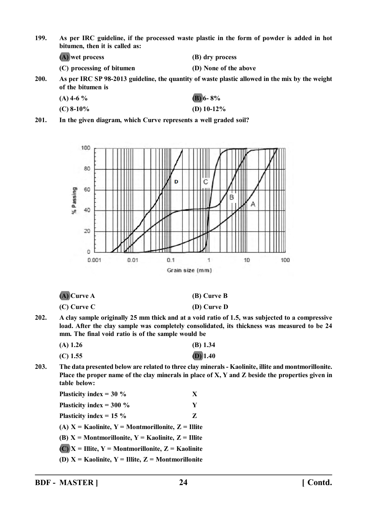**199. As per IRC guideline, if the processed waste plastic in the form of powder is added in hot bitumen, then it is called as:**

**(A) wet process (B) dry process**

**(C) processing of bitumen (D) None of the above**

**200. As per IRC SP 98-2013 guideline, the quantity of waste plastic allowed in the mix by the weight of the bitumen is**

| $(A)$ 4-6 % | (B) 6-8%      |
|-------------|---------------|
| $(C)$ 8-10% | (D) $10-12\%$ |

**201. In the given diagram, which Curve represents a well graded soil?**



**(A) Curve A (B) Curve B**

**(C) Curve C (D) Curve D**

**202. A clay sample originally 25 mm thick and at a void ratio of 1.5, was subjected to a compressive load. After the clay sample was completely consolidated, its thickness was measured to be 24 mm. The final void ratio is of the sample would be**

| $(A)$ 1.26 | $(B)$ 1.34 |
|------------|------------|
| $(C)$ 1.55 | $(D)$ 1.40 |

**203. The data presented below are related to three clay minerals - Kaolinite, illite and montmorillonite. Place the proper name of the clay minerals in place of X, Y and Z beside the properties given in table below:**

| Plasticity index = $30\%$                                | X |
|----------------------------------------------------------|---|
| Plasticity index = $300\%$                               | Y |
| Plasticity index = $15\%$                                | Z |
| (A) $X =$ Kaolinite, $Y =$ Montmorillonite, $Z =$ Illite |   |
| (B) $X =$ Montmorillonite, $Y =$ Kaolinite, $Z =$ Illite |   |
| $(C)$ X = Illite, Y = Montmorillonite, Z = Kaolinite     |   |
| (D) $X =$ Kaolinite, $Y =$ Illite, $Z =$ Montmorillonite |   |
|                                                          |   |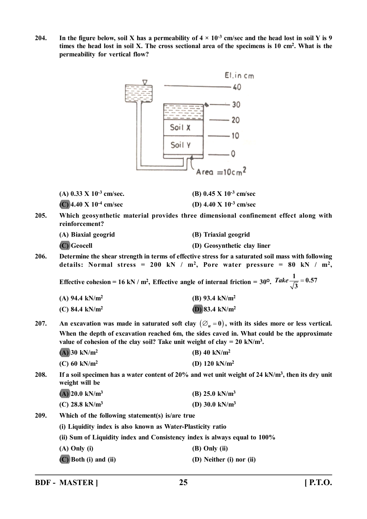**204.** In the figure below, soil X has a permeability of  $4 \times 10^{-3}$  cm/sec and the head lost in soil Y is 9 **times the head lost in soil X. The cross sectional area of the specimens is 10 cm<sup>2</sup> . What is the permeability for vertical flow?**



| (A) $0.33 \times 10^{-3}$ cm/sec.  | (B) $0.45 \times 10^{-3}$ cm/sec |
|------------------------------------|----------------------------------|
| (C) 4.40 X 10 <sup>-4</sup> cm/sec | (D) 4.40 X $10^{-3}$ cm/sec      |

**205. Which geosynthetic material provides three dimensional confinement effect along with reinforcement?**

**(A) Biaxial geogrid (B) Triaxial geogrid (C) Geocell (D) Geosynthetic clay liner**

**206. Determine the shear strength in terms of effective stress for a saturated soil mass with following details: Normal stress = 200 kN / m<sup>2</sup> , Pore water pressure = 80 kN / m<sup>2</sup> ,**

**Effective cohesion = 16 kN** /  $m^2$ , Effective angle of internal friction =  $30^{\circ}$ .  $\frac{1}{2}$  = 0.57 **3**  $Take \frac{1}{\sqrt{2}} =$ 

| (A) 94.4 kN/ $m^2$         | (B) 93.4 kN/m <sup>2</sup> |
|----------------------------|----------------------------|
| (C) 84.4 kN/m <sup>2</sup> | (D) 83.4 kN/m <sup>2</sup> |

- **207.** An excavation was made in saturated soft clay  $(\varnothing_u=0)$ , with its sides more or less vertical. **When the depth of excavation reached 6m, the sides caved in. What could be the approximate** value of cohesion of the clay soil? Take unit weight of clay =  $20 \text{ kN/m}^3$ .
	- **(A) 30 kN/m<sup>2</sup> (B) 40 kN/m<sup>2</sup>**
	- **(C) 60 kN/m<sup>2</sup> (D) 120 kN/m<sup>2</sup>**

**208. If a soil specimen has a water content of 20% and wet unit weight of 24 kN/m<sup>3</sup> , then its dry unit weight will be**

| $(A)$ 20.0 kN/m <sup>3</sup> | (B) $25.0 \text{ kN/m}^3$ |
|------------------------------|---------------------------|
| (C) 28.8 kN/m <sup>3</sup>   | (D) $30.0 \text{ kN/m}^3$ |

- **209. Which of the following statement(s) is/are true**
	- **(i) Liquidity index is also known as Water-Plasticity ratio**

**(ii) Sum of Liquidity index and Consistency index is always equal to 100%**

- **(A) Only (i) (B) Only (ii)**
- **(C) Both (i) and (ii) (D) Neither (i) nor (ii)**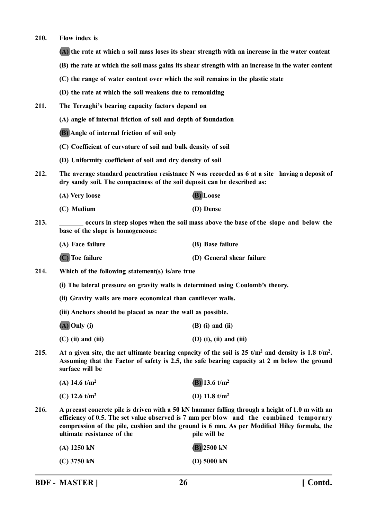**210. Flow index is**

**(A) the rate at which a soil mass loses its shear strength with an increase in the water content**

- **(B) the rate at which the soil mass gains its shear strength with an increase in the water content**
- **(C) the range of water content over which the soil remains in the plastic state**
- **(D) the rate at which the soil weakens due to remoulding**
- **211. The Terzaghi's bearing capacity factors depend on**
	- **(A) angle of internal friction of soil and depth of foundation**
	- **(B) Angle of internal friction of soil only**
	- **(C) Coefficient of curvature of soil and bulk density of soil**
	- **(D) Uniformity coefficient of soil and dry density of soil**
- **212. The average standard penetration resistance N was recorded as 6 at a site having a deposit of dry sandy soil. The compactness of the soil deposit can be described as:**
	- **(A) Very loose (B) Loose (C) Medium (D) Dense**
- **213. \_\_\_\_\_\_\_ occurs in steep slopes when the soil mass above the base of the slope and below the base of the slope is homogeneous:**
	- **(A) Face failure (B) Base failure (C) Toe failure (D) General shear failure**
- **214. Which of the following statement(s) is/are true**
	- **(i) The lateral pressure on gravity walls is determined using Coulomb's theory.**
	- **(ii) Gravity walls are more economical than cantilever walls.**
	- **(iii) Anchors should be placed as near the wall as possible.**
	- **(A) Only (i) (B) (i) and (ii)**
	- **(C) (ii) and (iii) (D) (i), (ii) and (iii)**
- 215. At a given site, the net ultimate bearing capacity of the soil is  $25 \text{ t/m}^2$  and density is  $1.8 \text{ t/m}^2$ . **Assuming that the Factor of safety is 2.5, the safe bearing capacity at 2 m below the ground surface will be**

| (A) 14.6 $t/m^2$ | (B) 13.6 $t/m^2$ |
|------------------|------------------|
| (C) 12.6 $t/m^2$ | (D) 11.8 $t/m^2$ |

**216. A precast concrete pile is driven with a 50 kN hammer falling through a height of 1.0 m with an efficiency of 0.5. The set value observed is 7 mm per blow and the combined temporary compression of the pile, cushion and the ground is 6 mm. As per Modified Hiley formula, the ultimate resistance of the <b>pile will** be

| $(A)$ 1250 kN | $(B)$ 2500 kN         |
|---------------|-----------------------|
| $(C)$ 3750 kN | (D) $5000 \text{ kN}$ |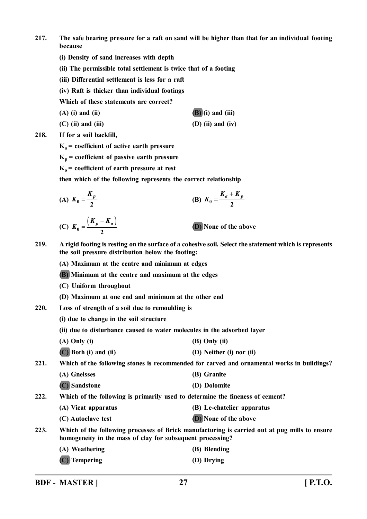- **217. The safe bearing pressure for a raft on sand will be higher than that for an individual footing because**
	- **(i) Density of sand increases with depth**
	- **(ii) The permissible total settlement is twice that of a footing**
	- **(iii) Differential settlement is less for a raft**
	- **(iv) Raft is thicker than individual footings**

**Which of these statements are correct?**

**(A) (i) and (ii) (B) (i) and (iii)**

- **(C) (ii) and (iii) (D) (ii) and (iv)**
- **218. If for a soil backfill,**

**Ka = coefficient of active earth pressure**

- $K_p$  = coefficient of passive earth pressure
- $K_0$  = coefficient of earth pressure at rest

**then which of the following represents the correct relationship**

(A) 
$$
K_0 = \frac{K_p}{2}
$$
  
\n(B)  $K_0 = \frac{K_a + K_p}{2}$   
\n(C)  $K_0 = \frac{(K_p - K_a)}{2}$   
\n(D) None of the above

- **219. A rigid footing is resting on the surface of a cohesive soil. Select the statement which is represents the soil pressure distribution below the footing:**
	- **(A) Maximum at the centre and minimum at edges**
	- **(B) Minimum at the centre and maximum at the edges**
	- **(C) Uniform throughout**
	- **(D) Maximum at one end and minimum at the other end**
- **220. Loss of strength of a soil due to remoulding is**
	- **(i) due to change in the soil structure**
	- **(ii) due to disturbance caused to water molecules in the adsorbed layer**
	- **(A) Only (i) (B) Only (ii)**
	- **(C) Both (i) and (ii) (D) Neither (i) nor (ii)**

**221. Which of the following stones is recommended for carved and ornamental works in buildings?**

- **(A) Gneisses (B) Granite**
- **(C) Sandstone (D) Dolomite**
- **222. Which of the following is primarily used to determine the fineness of cement?**
	- **(A) Vicat apparatus (B) Le-chatelier apparatus**
		- **(C) Autoclave test (D) None of the above**
- **223. Which of the following processes of Brick manufacturing is carried out at pug mills to ensure homogeneity in the mass of clay for subsequent processing?**
	- **(A) Weathering (B) Blending**
	- **(C) Tempering (D) Drying**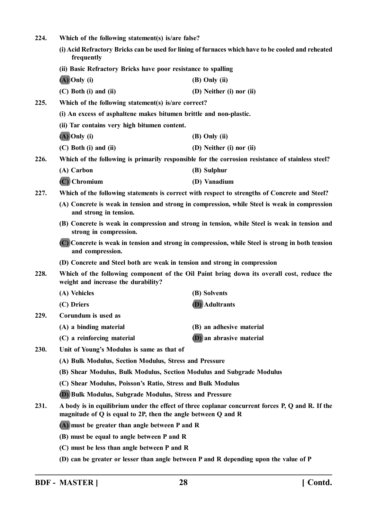| 224. | Which of the following statement(s) is/are false?                                                                                                                       |                                                                                                  |
|------|-------------------------------------------------------------------------------------------------------------------------------------------------------------------------|--------------------------------------------------------------------------------------------------|
|      | (i) Acid Refractory Bricks can be used for lining of furnaces which have to be cooled and reheated<br>frequently                                                        |                                                                                                  |
|      | (ii) Basic Refractory Bricks have poor resistance to spalling                                                                                                           |                                                                                                  |
|      | $(A)$ Only (i)                                                                                                                                                          | (B) Only (ii)                                                                                    |
|      | $(C)$ Both $(i)$ and $(ii)$                                                                                                                                             | (D) Neither (i) nor (ii)                                                                         |
| 225. | Which of the following statement(s) is/are correct?                                                                                                                     |                                                                                                  |
|      | (i) An excess of asphaltene makes bitumen brittle and non-plastic.<br>(ii) Tar contains very high bitumen content.                                                      |                                                                                                  |
|      |                                                                                                                                                                         |                                                                                                  |
|      | $(A)$ Only (i)                                                                                                                                                          | $(B)$ Only $(ii)$                                                                                |
|      | $(C)$ Both $(i)$ and $(ii)$                                                                                                                                             | (D) Neither (i) nor (ii)                                                                         |
| 226. |                                                                                                                                                                         | Which of the following is primarily responsible for the corrosion resistance of stainless steel? |
|      | (A) Carbon                                                                                                                                                              | (B) Sulphur                                                                                      |
|      | $(C)$ Chromium                                                                                                                                                          | (D) Vanadium                                                                                     |
| 227. |                                                                                                                                                                         | Which of the following statements is correct with respect to strengths of Concrete and Steel?    |
|      | (A) Concrete is weak in tension and strong in compression, while Steel is weak in compression<br>and strong in tension.                                                 |                                                                                                  |
|      | strong in compression.                                                                                                                                                  | (B) Concrete is weak in compression and strong in tension, while Steel is weak in tension and    |
|      | and compression.                                                                                                                                                        | (C) Concrete is weak in tension and strong in compression, while Steel is strong in both tension |
|      | (D) Concrete and Steel both are weak in tension and strong in compression                                                                                               |                                                                                                  |
| 228. | Which of the following component of the Oil Paint bring down its overall cost, reduce the<br>weight and increase the durability?                                        |                                                                                                  |
|      | (A) Vehicles                                                                                                                                                            | (B) Solvents                                                                                     |
|      | (C) Driers                                                                                                                                                              | <b>(D)</b> Adultrants                                                                            |
| 229. | Corundum is used as                                                                                                                                                     |                                                                                                  |
|      | (A) a binding material                                                                                                                                                  | (B) an adhesive material                                                                         |
|      | (C) a reinforcing material                                                                                                                                              | (D) an abrasive material                                                                         |
| 230. | Unit of Young's Modulus is same as that of                                                                                                                              |                                                                                                  |
|      | (A) Bulk Modulus, Section Modulus, Stress and Pressure                                                                                                                  |                                                                                                  |
|      | (B) Shear Modulus, Bulk Modulus, Section Modulus and Subgrade Modulus                                                                                                   |                                                                                                  |
|      | (C) Shear Modulus, Poisson's Ratio, Stress and Bulk Modulus                                                                                                             |                                                                                                  |
|      | (D) Bulk Modulus, Subgrade Modulus, Stress and Pressure                                                                                                                 |                                                                                                  |
| 231. | A body is in equilibrium under the effect of three coplanar concurrent forces P, Q and R. If the<br>magnitude of $Q$ is equal to 2P, then the angle between $Q$ and $R$ |                                                                                                  |
|      | (A) must be greater than angle between P and R                                                                                                                          |                                                                                                  |
|      | (B) must be equal to angle between P and R                                                                                                                              |                                                                                                  |
|      | (C) must be less than angle between P and R                                                                                                                             |                                                                                                  |
|      |                                                                                                                                                                         |                                                                                                  |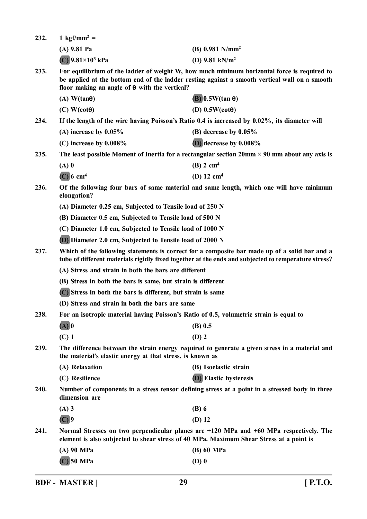| 232.                                                                                                                                                                                                                                                                 | 1 kgf/mm <sup>2</sup> =                                                                                                                                                                                                                              |                                                                                                                     |
|----------------------------------------------------------------------------------------------------------------------------------------------------------------------------------------------------------------------------------------------------------------------|------------------------------------------------------------------------------------------------------------------------------------------------------------------------------------------------------------------------------------------------------|---------------------------------------------------------------------------------------------------------------------|
|                                                                                                                                                                                                                                                                      | $(A)$ 9.81 Pa                                                                                                                                                                                                                                        | $(B)$ 0.981 N/mm <sup>2</sup>                                                                                       |
|                                                                                                                                                                                                                                                                      | $(C)$ 9.81×10 <sup>3</sup> kPa                                                                                                                                                                                                                       | (D) $9.81$ kN/m <sup>2</sup>                                                                                        |
| 233.                                                                                                                                                                                                                                                                 | For equilibrium of the ladder of weight W, how much minimum horizontal force is required to<br>be applied at the bottom end of the ladder resting against a smooth vertical wall on a smooth<br>floor making an angle of $\theta$ with the vertical? |                                                                                                                     |
|                                                                                                                                                                                                                                                                      | $(A)$ W(tan $\theta$ )                                                                                                                                                                                                                               | $(B)$ 0.5W(tan $\theta$ )                                                                                           |
|                                                                                                                                                                                                                                                                      | $(C)$ W(cot $\theta$ )                                                                                                                                                                                                                               | (D) $0.5W(cot\theta)$                                                                                               |
| 234.                                                                                                                                                                                                                                                                 |                                                                                                                                                                                                                                                      | If the length of the wire having Poisson's Ratio 0.4 is increased by 0.02%, its diameter will                       |
|                                                                                                                                                                                                                                                                      | (A) increase by $0.05\%$                                                                                                                                                                                                                             | (B) decrease by $0.05\%$                                                                                            |
|                                                                                                                                                                                                                                                                      | (C) increase by $0.008\%$                                                                                                                                                                                                                            | $(D)$ decrease by $0.008\%$                                                                                         |
| 235.                                                                                                                                                                                                                                                                 |                                                                                                                                                                                                                                                      | The least possible Moment of Inertia for a rectangular section $20 \text{mm} \times 90 \text{mm}$ about any axis is |
|                                                                                                                                                                                                                                                                      | $(A)$ 0                                                                                                                                                                                                                                              | $(B)$ 2 cm <sup>4</sup>                                                                                             |
|                                                                                                                                                                                                                                                                      | $(C)$ 6 cm <sup>4</sup>                                                                                                                                                                                                                              | (D) $12 \text{ cm}^4$                                                                                               |
| 236.                                                                                                                                                                                                                                                                 | Of the following four bars of same material and same length, which one will have minimum<br>elongation?                                                                                                                                              |                                                                                                                     |
|                                                                                                                                                                                                                                                                      | (A) Diameter 0.25 cm, Subjected to Tensile load of 250 N                                                                                                                                                                                             |                                                                                                                     |
|                                                                                                                                                                                                                                                                      | (B) Diameter 0.5 cm, Subjected to Tensile load of 500 N                                                                                                                                                                                              |                                                                                                                     |
|                                                                                                                                                                                                                                                                      | (C) Diameter 1.0 cm, Subjected to Tensile load of 1000 N                                                                                                                                                                                             |                                                                                                                     |
|                                                                                                                                                                                                                                                                      | (D) Diameter 2.0 cm, Subjected to Tensile load of 2000 N                                                                                                                                                                                             |                                                                                                                     |
| 237.<br>Which of the following statements is correct for a composite bar made up of a solid bar and a<br>tube of different materials rigidly fixed together at the ends and subjected to temperature stress?<br>(A) Stress and strain in both the bars are different |                                                                                                                                                                                                                                                      |                                                                                                                     |
|                                                                                                                                                                                                                                                                      |                                                                                                                                                                                                                                                      |                                                                                                                     |
|                                                                                                                                                                                                                                                                      | (B) Stress in both the bars is same, but strain is different                                                                                                                                                                                         |                                                                                                                     |
|                                                                                                                                                                                                                                                                      | (C) Stress in both the bars is different, but strain is same                                                                                                                                                                                         |                                                                                                                     |
|                                                                                                                                                                                                                                                                      | (D) Stress and strain in both the bars are same                                                                                                                                                                                                      |                                                                                                                     |
| 238.                                                                                                                                                                                                                                                                 | For an isotropic material having Poisson's Ratio of 0.5, volumetric strain is equal to                                                                                                                                                               |                                                                                                                     |
|                                                                                                                                                                                                                                                                      | $(A)$ <sup>0</sup>                                                                                                                                                                                                                                   | $(B)$ 0.5                                                                                                           |
|                                                                                                                                                                                                                                                                      | $(C)$ 1                                                                                                                                                                                                                                              | $(D)$ 2                                                                                                             |
| 239.                                                                                                                                                                                                                                                                 | the material's elastic energy at that stress, is known as                                                                                                                                                                                            | The difference between the strain energy required to generate a given stress in a material and                      |
|                                                                                                                                                                                                                                                                      | (A) Relaxation                                                                                                                                                                                                                                       | (B) Isoelastic strain                                                                                               |
|                                                                                                                                                                                                                                                                      | (C) Resilience                                                                                                                                                                                                                                       | <b>(D)</b> Elastic hysteresis                                                                                       |
| 240.                                                                                                                                                                                                                                                                 | Number of components in a stress tensor defining stress at a point in a stressed body in three<br>dimension are                                                                                                                                      |                                                                                                                     |
|                                                                                                                                                                                                                                                                      | $(A)$ 3                                                                                                                                                                                                                                              | $(B)$ 6                                                                                                             |
|                                                                                                                                                                                                                                                                      | $(C)$ 9                                                                                                                                                                                                                                              | $(D)$ 12                                                                                                            |
| 241.                                                                                                                                                                                                                                                                 | Normal Stresses on two perpendicular planes are +120 MPa and +60 MPa respectively. The<br>element is also subjected to shear stress of 40 MPa. Maximum Shear Stress at a point is                                                                    |                                                                                                                     |
|                                                                                                                                                                                                                                                                      | $(A)$ 90 MPa                                                                                                                                                                                                                                         | (B) 60 MPa                                                                                                          |
|                                                                                                                                                                                                                                                                      | $(C)$ 50 MPa                                                                                                                                                                                                                                         | $(D)$ 0                                                                                                             |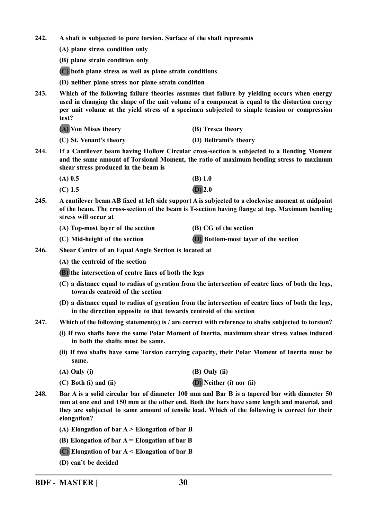**242. A shaft is subjected to pure torsion. Surface of the shaft represents**

- **(A) plane stress condition only**
- **(B) plane strain condition only**

**(C) both plane stress as well as plane strain conditions**

- **(D) neither plane stress nor plane strain condition**
- **243. Which of the following failure theories assumes that failure by yielding occurs when energy used in changing the shape of the unit volume of a component is equal to the distortion energy per unit volume at the yield stress of a specimen subjected to simple tension or compression test?**
	- **(A) Von Mises theory (B) Tresca theory**
	- **(C) St. Venant's theory (D) Beltrami's theory**
- **244. If a Cantilever beam having Hollow Circular cross-section is subjected to a Bending Moment and the same amount of Torsional Moment, the ratio of maximum bending stress to maximum shear stress produced in the beam is**
	- **(A) 0.5 (B) 1.0**
	- **(C) 1.5 (D) 2.0**
- **245. A cantilever beam AB fixed at left side support A is subjected to a clockwise moment at midpoint of the beam. The cross-section of the beam is T-section having flange at top. Maximum bending stress will occur at**

| (A) Top-most layer of the section | (B) CG of the section |
|-----------------------------------|-----------------------|
|                                   |                       |

- **(C) Mid-height of the section (D) Bottom-most layer of the section**
- **246. Shear Centre of an Equal Angle Section is located at**
	- **(A) the centroid of the section**
	- **(B) the intersection of centre lines of both the legs**
	- **(C) a distance equal to radius of gyration from the intersection of centre lines of both the legs, towards centroid of the section**
	- **(D) a distance equal to radius of gyration from the intersection of centre lines of both the legs, in the direction opposite to that towards centroid of the section**
- **247. Which of the following statement(s) is / are correct with reference to shafts subjected to torsion?**
	- **(i) If two shafts have the same Polar Moment of Inertia, maximum shear stress values induced in both the shafts must be same.**
	- **(ii) If two shafts have same Torsion carrying capacity, their Polar Moment of Inertia must be same.**

| $(A)$ Only $(i)$ | (B) Only (ii) |
|------------------|---------------|
|                  |               |

- **(C) Both (i) and (ii) (D) Neither (i) nor (ii)**
- **248. Bar A is a solid circular bar of diameter 100 mm and Bar B is a tapered bar with diameter 50 mm at one end and 150 mm at the other end. Both the bars have same length and material, and they are subjected to same amount of tensile load. Which of the following is correct for their elongation?**
	- **(A) Elongation of bar A > Elongation of bar B**
	- **(B) Elongation of bar A = Elongation of bar B**
	- **(C) Elongation of bar A < Elongation of bar B**
	- **(D) can't be decided**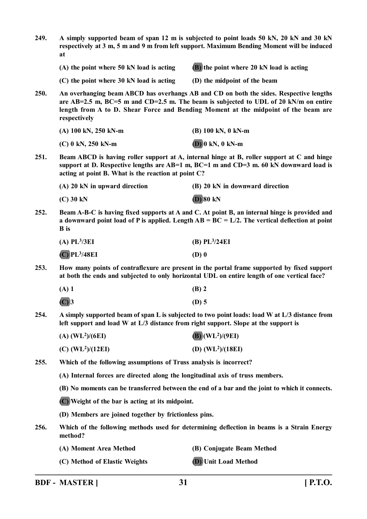| 249. | A simply supported beam of span 12 m is subjected to point loads 50 kN, 20 kN and 30 kN<br>respectively at 3 m, 5 m and 9 m from left support. Maximum Bending Moment will be induced<br>at                                                                                          |                                                                                            |
|------|--------------------------------------------------------------------------------------------------------------------------------------------------------------------------------------------------------------------------------------------------------------------------------------|--------------------------------------------------------------------------------------------|
|      | (A) the point where 50 kN load is acting                                                                                                                                                                                                                                             | (B) the point where 20 kN load is acting                                                   |
|      | $(C)$ the point where 30 kN load is acting                                                                                                                                                                                                                                           | (D) the midpoint of the beam                                                               |
| 250. | An overhanging beam ABCD has overhangs AB and CD on both the sides. Respective lengths<br>are AB=2.5 m, BC=5 m and CD=2.5 m. The beam is subjected to UDL of 20 kN/m on entire<br>length from A to D. Shear Force and Bending Moment at the midpoint of the beam are<br>respectively |                                                                                            |
|      | (A) 100 kN, 250 kN-m                                                                                                                                                                                                                                                                 | (B) 100 kN, 0 kN-m                                                                         |
|      | $(C)$ 0 kN, 250 kN-m                                                                                                                                                                                                                                                                 | $(D)$ 0 kN, 0 kN-m                                                                         |
| 251. | Beam ABCD is having roller support at A, internal hinge at B, roller support at C and hinge<br>support at D. Respective lengths are AB=1 m, BC=1 m and CD=3 m. 60 kN downward load is<br>acting at point B. What is the reaction at point C?                                         |                                                                                            |
|      | $(A)$ 20 kN in upward direction                                                                                                                                                                                                                                                      | (B) 20 kN in downward direction                                                            |
|      | $(C)$ 30 kN                                                                                                                                                                                                                                                                          | $(D)$ 80 kN                                                                                |
| 252. | Beam A-B-C is having fixed supports at A and C. At point B, an internal hinge is provided and<br>a downward point load of P is applied. Length $AB = BC = L/2$ . The vertical deflection at point<br><b>B</b> is                                                                     |                                                                                            |
|      | $(A)$ PL <sup>3</sup> /3EI                                                                                                                                                                                                                                                           | $(B)$ PL $3/24EI$                                                                          |
|      | $(C)$ PL <sup>3</sup> /48EI                                                                                                                                                                                                                                                          | $(D)$ 0                                                                                    |
| 253. | How many points of contraflexure are present in the portal frame supported by fixed support<br>at both the ends and subjected to only horizontal UDL on entire length of one vertical face?                                                                                          |                                                                                            |
|      | $(A)$ 1                                                                                                                                                                                                                                                                              | $(B)$ 2                                                                                    |
|      | $(C)$ 3                                                                                                                                                                                                                                                                              | $(D)$ 5                                                                                    |
| 254. | A simply supported beam of span L is subjected to two point loads: load W at L/3 distance from<br>left support and load W at $L/3$ distance from right support. Slope at the support is                                                                                              |                                                                                            |
|      | $(A)$ (WL <sup>2</sup> )/(6EI)                                                                                                                                                                                                                                                       | $(B)$ (WL <sup>2</sup> )/(9EI)                                                             |
|      | $(C)$ (WL <sup>2</sup> )/(12EI)                                                                                                                                                                                                                                                      | (D) $(WL2)/(18EI)$                                                                         |
| 255. | Which of the following assumptions of Truss analysis is incorrect?                                                                                                                                                                                                                   |                                                                                            |
|      | (A) Internal forces are directed along the longitudinal axis of truss members.                                                                                                                                                                                                       |                                                                                            |
|      | (B) No moments can be transferred between the end of a bar and the joint to which it connects.                                                                                                                                                                                       |                                                                                            |
|      | (C) Weight of the bar is acting at its midpoint.                                                                                                                                                                                                                                     |                                                                                            |
|      | (D) Members are joined together by frictionless pins.                                                                                                                                                                                                                                |                                                                                            |
| 256. | method?                                                                                                                                                                                                                                                                              | Which of the following methods used for determining deflection in beams is a Strain Energy |
|      | (A) Moment Area Method                                                                                                                                                                                                                                                               | (B) Conjugate Beam Method                                                                  |
|      | (C) Method of Elastic Weights                                                                                                                                                                                                                                                        | (D) Unit Load Method                                                                       |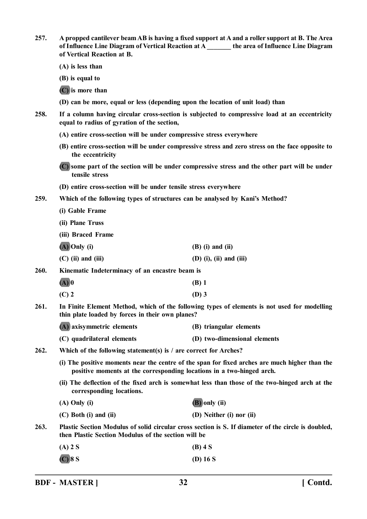**257. A propped cantilever beam AB is having a fixed support at A and a roller support at B. The Area of Influence Line Diagram of Vertical Reaction at A \_\_\_\_\_\_\_ the area of Influence Line Diagram of Vertical Reaction at B.**

**(A) is less than**

**(B) is equal to**

**(C) is more than**

- **(D) can be more, equal or less (depending upon the location of unit load) than**
- **258. If a column having circular cross-section is subjected to compressive load at an eccentricity equal to radius of gyration of the section,**
	- **(A) entire cross-section will be under compressive stress everywhere**
	- **(B) entire cross-section will be under compressive stress and zero stress on the face opposite to the eccentricity**
	- **(C) some part of the section will be under compressive stress and the other part will be under tensile stress**
	- **(D) entire cross-section will be under tensile stress everywhere**
- **259. Which of the following types of structures can be analysed by Kani's Method?**
	- **(i) Gable Frame**
	- **(ii) Plane Truss**
	- **(iii) Braced Frame**
	- **(A) Only (i) (B) (i) and (ii) (C) (ii) and (iii) (D) (i), (ii) and (iii)**
- **260. Kinematic Indeterminacy of an encastre beam is**
	- **(A) 0 (B) 1**
	- **(C) 2 (D) 3**
- **261. In Finite Element Method, which of the following types of elements is not used for modelling thin plate loaded by forces in their own planes?**
	- **(A) axisymmetric elements (B) triangular elements (C) quadrilateral elements (D) two-dimensional elements**
- **262. Which of the following statement(s) is / are correct for Arches?**
	- **(i) The positive moments near the centre of the span for fixed arches are much higher than the positive moments at the corresponding locations in a two-hinged arch.**
	- **(ii) The deflection of the fixed arch is somewhat less than those of the two-hinged arch at the corresponding locations.**

| $(A)$ Only $(i)$        | (B) only (ii)            |
|-------------------------|--------------------------|
| $(C)$ Both (i) and (ii) | (D) Neither (i) nor (ii) |

**263. Plastic Section Modulus of solid circular cross section is S. If diameter of the circle is doubled, then Plastic Section Modulus of the section will be**

- **(A) 2 S (B) 4 S**
- **(C) 8 S (D) 16 S**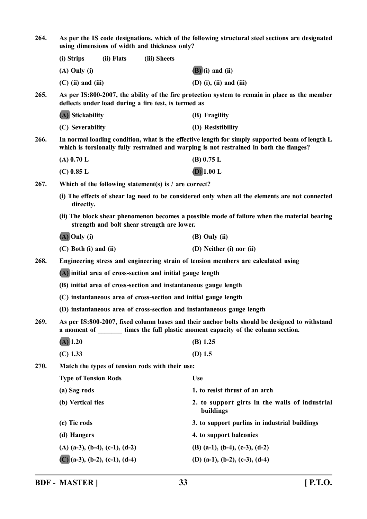| 264. | As per the IS code designations, which of the following structural steel sections are designated<br>using dimensions of width and thickness only?                                           |            |              |                                                             |  |  |
|------|---------------------------------------------------------------------------------------------------------------------------------------------------------------------------------------------|------------|--------------|-------------------------------------------------------------|--|--|
|      | (i) Strips                                                                                                                                                                                  | (ii) Flats | (iii) Sheets |                                                             |  |  |
|      | $(A)$ Only $(i)$                                                                                                                                                                            |            |              | $(B)(i)$ and $(ii)$                                         |  |  |
|      | $(C)$ (ii) and (iii)                                                                                                                                                                        |            |              | $(D)$ (i), (ii) and (iii)                                   |  |  |
| 265. | As per IS:800-2007, the ability of the fire protection system to remain in place as the member<br>deflects under load during a fire test, is termed as                                      |            |              |                                                             |  |  |
|      | (A) Stickability                                                                                                                                                                            |            |              | (B) Fragility                                               |  |  |
|      | (C) Severability                                                                                                                                                                            |            |              | (D) Resistibility                                           |  |  |
| 266. | In normal loading condition, what is the effective length for simply supported beam of length L<br>which is torsionally fully restrained and warping is not restrained in both the flanges? |            |              |                                                             |  |  |
|      | $(A)$ 0.70 L                                                                                                                                                                                |            |              | $(B)$ 0.75 L                                                |  |  |
|      | $(C)$ 0.85 L                                                                                                                                                                                |            |              | $(D)$ 1.00 L                                                |  |  |
| 267. | Which of the following statement(s) is $\ell$ are correct?                                                                                                                                  |            |              |                                                             |  |  |
|      | (i) The effects of shear lag need to be considered only when all the elements are not connected<br>directly.                                                                                |            |              |                                                             |  |  |
|      | (ii) The block shear phenomenon becomes a possible mode of failure when the material bearing<br>strength and bolt shear strength are lower.                                                 |            |              |                                                             |  |  |
|      | $(A)$ Only (i)                                                                                                                                                                              |            |              | $(B)$ Only $(ii)$                                           |  |  |
|      | $(C)$ Both $(i)$ and $(ii)$                                                                                                                                                                 |            |              | (D) Neither (i) nor (ii)                                    |  |  |
| 268. | Engineering stress and engineering strain of tension members are calculated using                                                                                                           |            |              |                                                             |  |  |
|      | (A) initial area of cross-section and initial gauge length                                                                                                                                  |            |              |                                                             |  |  |
|      | (B) initial area of cross-section and instantaneous gauge length                                                                                                                            |            |              |                                                             |  |  |
|      | (C) instantaneous area of cross-section and initial gauge length                                                                                                                            |            |              |                                                             |  |  |
|      | (D) instantaneous area of cross-section and instantaneous gauge length                                                                                                                      |            |              |                                                             |  |  |
| 269. | As per IS:800-2007, fixed column bases and their anchor bolts should be designed to withstand<br>a moment of times the full plastic moment capacity of the column section.                  |            |              |                                                             |  |  |
|      | $(A)$ 1.20                                                                                                                                                                                  |            |              | $(B)$ 1.25                                                  |  |  |
|      | $(C)$ 1.33                                                                                                                                                                                  |            |              | $(D)$ 1.5                                                   |  |  |
| 270. | Match the types of tension rods with their use:                                                                                                                                             |            |              |                                                             |  |  |
|      | <b>Type of Tension Rods</b>                                                                                                                                                                 |            |              | <b>Use</b>                                                  |  |  |
|      | (a) Sag rods                                                                                                                                                                                |            |              | 1. to resist thrust of an arch                              |  |  |
|      | (b) Vertical ties                                                                                                                                                                           |            |              | 2. to support girts in the walls of industrial<br>buildings |  |  |
|      | (c) Tie rods                                                                                                                                                                                |            |              | 3. to support purlins in industrial buildings               |  |  |
|      | (d) Hangers                                                                                                                                                                                 |            |              | 4. to support balconies                                     |  |  |
|      | $(A)$ (a-3), (b-4), (c-1), (d-2)                                                                                                                                                            |            |              | $(B)$ (a-1), (b-4), (c-3), (d-2)                            |  |  |
|      | $(C)(a-3), (b-2), (c-1), (d-4)$                                                                                                                                                             |            |              | (D) (a-1), (b-2), (c-3), (d-4)                              |  |  |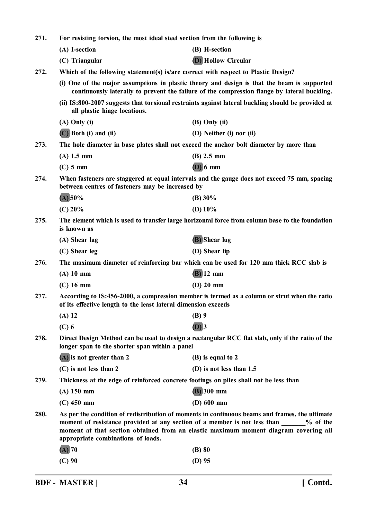|                                                                                                                                                                                                                                                                                                                  | For resisting torsion, the most ideal steel section from the following is                       |  |  |  |  |
|------------------------------------------------------------------------------------------------------------------------------------------------------------------------------------------------------------------------------------------------------------------------------------------------------------------|-------------------------------------------------------------------------------------------------|--|--|--|--|
| (A) I-section<br>(B) H-section                                                                                                                                                                                                                                                                                   |                                                                                                 |  |  |  |  |
| <b>(D)</b> Hollow Circular<br>(C) Triangular                                                                                                                                                                                                                                                                     |                                                                                                 |  |  |  |  |
| 272.                                                                                                                                                                                                                                                                                                             | Which of the following statement(s) is/are correct with respect to Plastic Design?              |  |  |  |  |
| (i) One of the major assumptions in plastic theory and design is that the beam is supported<br>continuously laterally to prevent the failure of the compression flange by lateral buckling.                                                                                                                      |                                                                                                 |  |  |  |  |
| (ii) IS:800-2007 suggests that torsional restraints against lateral buckling should be provided at<br>all plastic hinge locations.                                                                                                                                                                               |                                                                                                 |  |  |  |  |
| $(A)$ Only $(i)$<br>$(B)$ Only $(ii)$                                                                                                                                                                                                                                                                            |                                                                                                 |  |  |  |  |
| (C) Both (i) and (ii)<br>(D) Neither (i) nor (ii)                                                                                                                                                                                                                                                                |                                                                                                 |  |  |  |  |
| The hole diameter in base plates shall not exceed the anchor bolt diameter by more than                                                                                                                                                                                                                          |                                                                                                 |  |  |  |  |
| $(A)$ 1.5 mm<br>$(B)$ 2.5 mm                                                                                                                                                                                                                                                                                     |                                                                                                 |  |  |  |  |
| $(D)$ 6 mm<br>$(C)$ 5 mm                                                                                                                                                                                                                                                                                         |                                                                                                 |  |  |  |  |
| When fasteners are staggered at equal intervals and the gauge does not exceed 75 mm, spacing<br>between centres of fasteners may be increased by                                                                                                                                                                 |                                                                                                 |  |  |  |  |
| $(A)$ 50%<br>(B) 30%                                                                                                                                                                                                                                                                                             |                                                                                                 |  |  |  |  |
| $(C)$ 20%<br>(D) $10\%$                                                                                                                                                                                                                                                                                          |                                                                                                 |  |  |  |  |
| 275.<br>is known as                                                                                                                                                                                                                                                                                              | The element which is used to transfer large horizontal force from column base to the foundation |  |  |  |  |
| (B) Shear lug<br>(A) Shear lag                                                                                                                                                                                                                                                                                   |                                                                                                 |  |  |  |  |
| (C) Shear leg<br>(D) Shear lip                                                                                                                                                                                                                                                                                   |                                                                                                 |  |  |  |  |
| 276.                                                                                                                                                                                                                                                                                                             | The maximum diameter of reinforcing bar which can be used for 120 mm thick RCC slab is          |  |  |  |  |
| $(B)$ 12 mm<br>$(A)$ 10 mm                                                                                                                                                                                                                                                                                       |                                                                                                 |  |  |  |  |
| $(D)$ 20 mm<br>$(C)$ 16 mm                                                                                                                                                                                                                                                                                       |                                                                                                 |  |  |  |  |
| 277.<br>of its effective length to the least lateral dimension exceeds                                                                                                                                                                                                                                           | According to IS:456-2000, a compression member is termed as a column or strut when the ratio    |  |  |  |  |
| $(A)$ 12<br>$(B)$ 9                                                                                                                                                                                                                                                                                              |                                                                                                 |  |  |  |  |
| $(D)$ 3<br>$(C)$ 6                                                                                                                                                                                                                                                                                               |                                                                                                 |  |  |  |  |
| Direct Design Method can be used to design a rectangular RCC flat slab, only if the ratio of the<br>longer span to the shorter span within a panel                                                                                                                                                               |                                                                                                 |  |  |  |  |
| 278.                                                                                                                                                                                                                                                                                                             |                                                                                                 |  |  |  |  |
| (A) is not greater than 2<br>(B) is equal to 2                                                                                                                                                                                                                                                                   |                                                                                                 |  |  |  |  |
| (C) is not less than 2<br>(D) is not less than 1.5                                                                                                                                                                                                                                                               |                                                                                                 |  |  |  |  |
| Thickness at the edge of reinforced concrete footings on piles shall not be less than<br>279.                                                                                                                                                                                                                    |                                                                                                 |  |  |  |  |
| $\overline{(B)}$ 300 mm<br>$(A)$ 150 mm                                                                                                                                                                                                                                                                          |                                                                                                 |  |  |  |  |
| (D) 600 mm<br>$(C)$ 450 mm                                                                                                                                                                                                                                                                                       |                                                                                                 |  |  |  |  |
| 280.<br>As per the condition of redistribution of moments in continuous beams and frames, the ultimate<br>moment of resistance provided at any section of a member is not less than<br>moment at that section obtained from an elastic maximum moment diagram covering all<br>appropriate combinations of loads. | $%$ of the                                                                                      |  |  |  |  |
| $(A)$ 70<br>$(B)$ 80                                                                                                                                                                                                                                                                                             |                                                                                                 |  |  |  |  |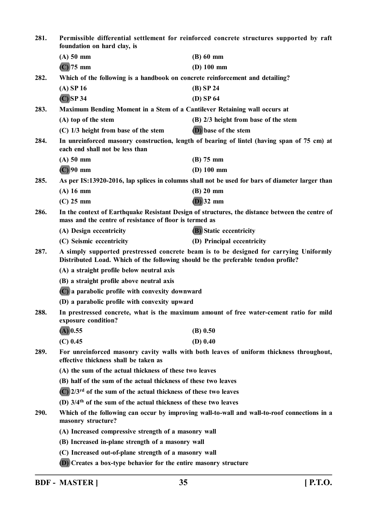| 281. | Permissible differential settlement for reinforced concrete structures supported by raft<br>foundation on hard clay, is                                                    |                                      |  |  |  |  |
|------|----------------------------------------------------------------------------------------------------------------------------------------------------------------------------|--------------------------------------|--|--|--|--|
|      | $(A)$ 50 mm                                                                                                                                                                | $(B)$ 60 mm                          |  |  |  |  |
|      | $(C)$ 75 mm                                                                                                                                                                | $(D)$ 100 mm                         |  |  |  |  |
| 282. | Which of the following is a handbook on concrete reinforcement and detailing?                                                                                              |                                      |  |  |  |  |
|      | $(A)$ SP 16                                                                                                                                                                | $(B)$ SP 24                          |  |  |  |  |
|      | $(C)$ SP 34                                                                                                                                                                | $(D)$ SP 64                          |  |  |  |  |
| 283. | Maximum Bending Moment in a Stem of a Cantilever Retaining wall occurs at                                                                                                  |                                      |  |  |  |  |
|      | (A) top of the stem                                                                                                                                                        | (B) 2/3 height from base of the stem |  |  |  |  |
|      | $(C)$ 1/3 height from base of the stem                                                                                                                                     | (D) base of the stem                 |  |  |  |  |
| 284. | In unreinforced masonry construction, length of bearing of lintel (having span of 75 cm) at<br>each end shall not be less than                                             |                                      |  |  |  |  |
|      | $(A)$ 50 mm                                                                                                                                                                | $(B)$ 75 mm                          |  |  |  |  |
|      | $(C)$ 90 mm                                                                                                                                                                | $(D)$ 100 mm                         |  |  |  |  |
| 285. | As per IS:13920-2016, lap splices in columns shall not be used for bars of diameter larger than                                                                            |                                      |  |  |  |  |
|      | $(A)$ 16 mm                                                                                                                                                                | $(B)$ 20 mm                          |  |  |  |  |
|      | $(C)$ 25 mm                                                                                                                                                                | $(D)$ 32 mm                          |  |  |  |  |
| 286. | In the context of Earthquake Resistant Design of structures, the distance between the centre of<br>mass and the centre of resistance of floor is termed as                 |                                      |  |  |  |  |
|      | (A) Design eccentricity                                                                                                                                                    | <b>(B)</b> Static eccentricity       |  |  |  |  |
|      | (C) Seismic eccentricity                                                                                                                                                   | (D) Principal eccentricity           |  |  |  |  |
| 287. | A simply supported prestressed concrete beam is to be designed for carrying Uniformly<br>Distributed Load. Which of the following should be the preferable tendon profile? |                                      |  |  |  |  |
|      | (A) a straight profile below neutral axis                                                                                                                                  |                                      |  |  |  |  |
|      | (B) a straight profile above neutral axis                                                                                                                                  |                                      |  |  |  |  |
|      | (C) a parabolic profile with convexity downward                                                                                                                            |                                      |  |  |  |  |
|      | (D) a parabolic profile with convexity upward                                                                                                                              |                                      |  |  |  |  |
| 288. | In prestressed concrete, what is the maximum amount of free water-cement ratio for mild<br>exposure condition?                                                             |                                      |  |  |  |  |
|      | $(A)$ 0.55                                                                                                                                                                 | $(B)$ 0.50                           |  |  |  |  |
|      | $(C)$ 0.45                                                                                                                                                                 | $(D)$ 0.40                           |  |  |  |  |
| 289. | For unreinforced masonry cavity walls with both leaves of uniform thickness throughout,<br>effective thickness shall be taken as                                           |                                      |  |  |  |  |
|      | (A) the sum of the actual thickness of these two leaves                                                                                                                    |                                      |  |  |  |  |
|      | (B) half of the sum of the actual thickness of these two leaves                                                                                                            |                                      |  |  |  |  |
|      | $(C)$ 2/3 <sup>rd</sup> of the sum of the actual thickness of these two leaves                                                                                             |                                      |  |  |  |  |
|      | (D) 3/4 <sup>th</sup> of the sum of the actual thickness of these two leaves                                                                                               |                                      |  |  |  |  |
| 290. | Which of the following can occur by improving wall-to-wall and wall-to-roof connections in a<br>masonry structure?                                                         |                                      |  |  |  |  |
|      | (A) Increased compressive strength of a masonry wall                                                                                                                       |                                      |  |  |  |  |
|      | (B) Increased in-plane strength of a masonry wall                                                                                                                          |                                      |  |  |  |  |
|      | (C) Increased out-of-plane strength of a masonry wall                                                                                                                      |                                      |  |  |  |  |
|      | (D) Creates a box-type behavior for the entire masonry structure                                                                                                           |                                      |  |  |  |  |